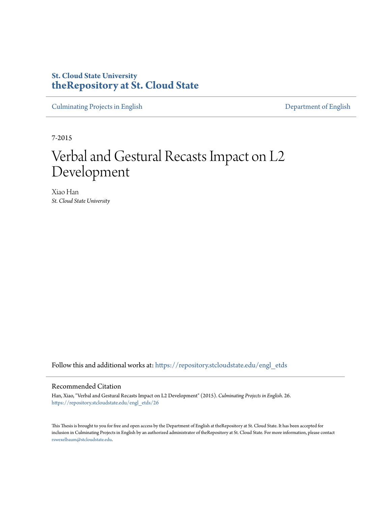# **St. Cloud State University [theRepository at St. Cloud State](https://repository.stcloudstate.edu?utm_source=repository.stcloudstate.edu%2Fengl_etds%2F26&utm_medium=PDF&utm_campaign=PDFCoverPages)**

[Culminating Projects in English](https://repository.stcloudstate.edu/engl_etds?utm_source=repository.stcloudstate.edu%2Fengl_etds%2F26&utm_medium=PDF&utm_campaign=PDFCoverPages) [Department of English](https://repository.stcloudstate.edu/engl?utm_source=repository.stcloudstate.edu%2Fengl_etds%2F26&utm_medium=PDF&utm_campaign=PDFCoverPages)

7-2015

# Verbal and Gestural Recasts Impact on L2 Development

Xiao Han *St. Cloud State University*

Follow this and additional works at: [https://repository.stcloudstate.edu/engl\\_etds](https://repository.stcloudstate.edu/engl_etds?utm_source=repository.stcloudstate.edu%2Fengl_etds%2F26&utm_medium=PDF&utm_campaign=PDFCoverPages)

#### Recommended Citation

Han, Xiao, "Verbal and Gestural Recasts Impact on L2 Development" (2015). *Culminating Projects in English*. 26. [https://repository.stcloudstate.edu/engl\\_etds/26](https://repository.stcloudstate.edu/engl_etds/26?utm_source=repository.stcloudstate.edu%2Fengl_etds%2F26&utm_medium=PDF&utm_campaign=PDFCoverPages)

This Thesis is brought to you for free and open access by the Department of English at theRepository at St. Cloud State. It has been accepted for inclusion in Culminating Projects in English by an authorized administrator of theRepository at St. Cloud State. For more information, please contact [rswexelbaum@stcloudstate.edu](mailto:rswexelbaum@stcloudstate.edu).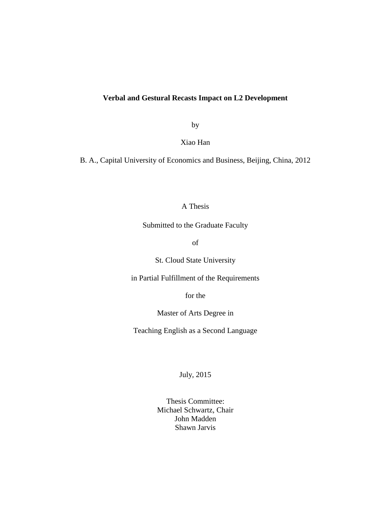# **Verbal and Gestural Recasts Impact on L2 Development**

by

Xiao Han

B. A., Capital University of Economics and Business, Beijing, China, 2012

# A Thesis

Submitted to the Graduate Faculty

of

St. Cloud State University

in Partial Fulfillment of the Requirements

for the

Master of Arts Degree in

Teaching English as a Second Language

July, 2015

Thesis Committee: Michael Schwartz, Chair John Madden Shawn Jarvis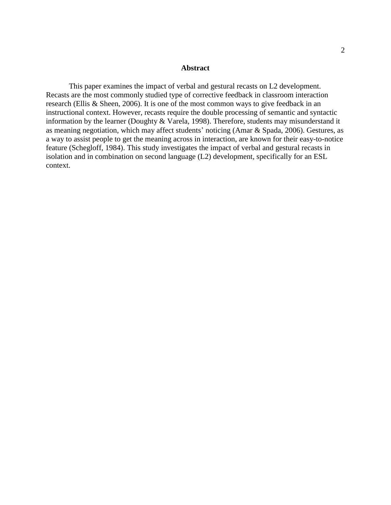#### **Abstract**

This paper examines the impact of verbal and gestural recasts on L2 development. Recasts are the most commonly studied type of corrective feedback in classroom interaction research (Ellis & Sheen, 2006). It is one of the most common ways to give feedback in an instructional context. However, recasts require the double processing of semantic and syntactic information by the learner (Doughty & Varela, 1998). Therefore, students may misunderstand it as meaning negotiation, which may affect students' noticing (Amar & Spada, 2006). Gestures, as a way to assist people to get the meaning across in interaction, are known for their easy-to-notice feature (Schegloff, 1984). This study investigates the impact of verbal and gestural recasts in isolation and in combination on second language (L2) development, specifically for an ESL context.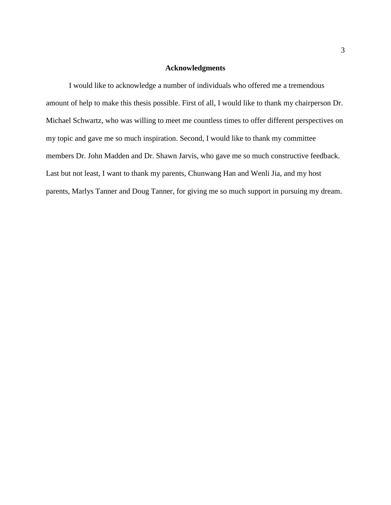### **Acknowledgments**

I would like to acknowledge a number of individuals who offered me a tremendous amount of help to make this thesis possible. First of all, I would like to thank my chairperson Dr. Michael Schwartz, who was willing to meet me countless times to offer different perspectives on my topic and gave me so much inspiration. Second, I would like to thank my committee members Dr. John Madden and Dr. Shawn Jarvis, who gave me so much constructive feedback. Last but not least, I want to thank my parents, Chunwang Han and Wenli Jia, and my host parents, Marlys Tanner and Doug Tanner, for giving me so much support in pursuing my dream.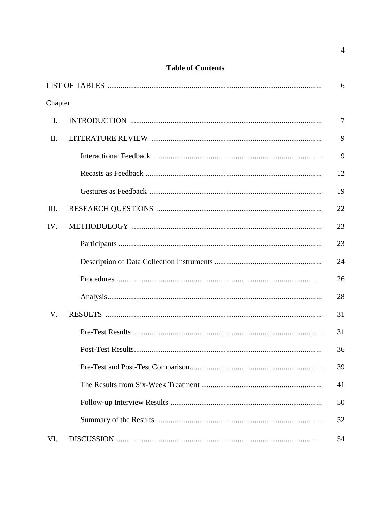# **Table of Contents**

|         | 6              |
|---------|----------------|
| Chapter |                |
| I.      | $\overline{7}$ |
| II.     | 9              |
|         | 9              |
|         | 12             |
|         | 19             |
| Ш.      | 22             |
| IV.     | 23             |
|         | 23             |
|         | 24             |
|         | 26             |
|         | 28             |
| V.      | 31             |
|         | 31             |
|         | 36             |
|         | 39             |
|         | 41             |
|         | 50             |
|         | 52             |
| VI.     | 54             |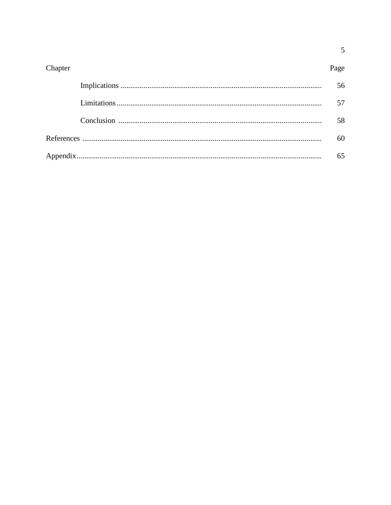| Chapter | Page |
|---------|------|
|         | 56   |
|         | 57   |
|         | 58   |
|         | 60   |
|         | 65   |

 $\overline{5}$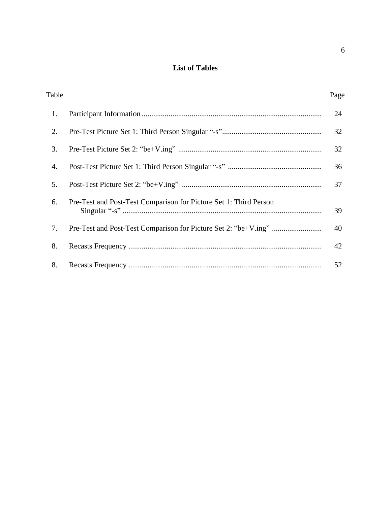# **List of Tables**

| Table |                                                                   | Page |
|-------|-------------------------------------------------------------------|------|
| 1.    |                                                                   | 24   |
| 2.    |                                                                   | 32   |
| 3.    |                                                                   | 32   |
| 4.    |                                                                   | 36   |
| 5.    |                                                                   | 37   |
| 6.    | Pre-Test and Post-Test Comparison for Picture Set 1: Third Person | 39   |
| 7.    |                                                                   | 40   |
| 8.    |                                                                   | 42   |
| 8.    |                                                                   | 52   |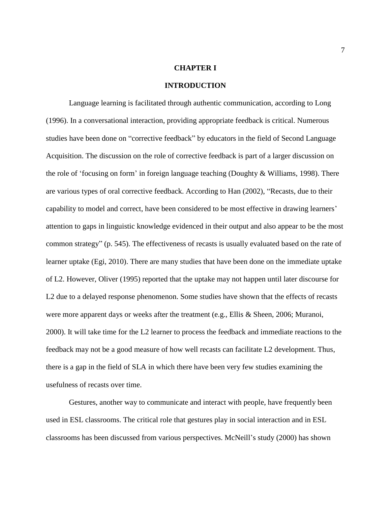#### **CHAPTER I**

#### **INTRODUCTION**

Language learning is facilitated through authentic communication, according to Long (1996). In a conversational interaction, providing appropriate feedback is critical. Numerous studies have been done on "corrective feedback" by educators in the field of Second Language Acquisition. The discussion on the role of corrective feedback is part of a larger discussion on the role of 'focusing on form' in foreign language teaching (Doughty & Williams, 1998). There are various types of oral corrective feedback. According to Han (2002), "Recasts, due to their capability to model and correct, have been considered to be most effective in drawing learners' attention to gaps in linguistic knowledge evidenced in their output and also appear to be the most common strategy" (p. 545). The effectiveness of recasts is usually evaluated based on the rate of learner uptake (Egi, 2010). There are many studies that have been done on the immediate uptake of L2. However, Oliver (1995) reported that the uptake may not happen until later discourse for L2 due to a delayed response phenomenon. Some studies have shown that the effects of recasts were more apparent days or weeks after the treatment (e.g., Ellis & Sheen, 2006; Muranoi, 2000). It will take time for the L2 learner to process the feedback and immediate reactions to the feedback may not be a good measure of how well recasts can facilitate L2 development. Thus, there is a gap in the field of SLA in which there have been very few studies examining the usefulness of recasts over time.

Gestures, another way to communicate and interact with people, have frequently been used in ESL classrooms. The critical role that gestures play in social interaction and in ESL classrooms has been discussed from various perspectives. McNeill's study (2000) has shown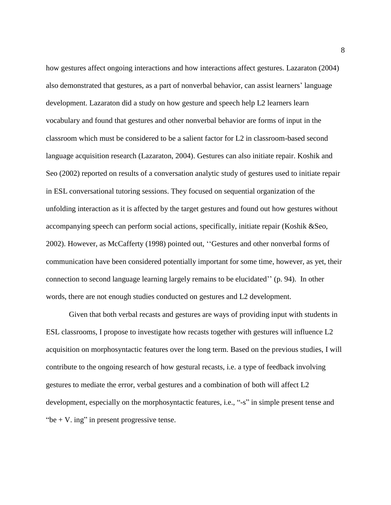how gestures affect ongoing interactions and how interactions affect gestures. Lazaraton (2004) also demonstrated that gestures, as a part of nonverbal behavior, can assist learners' language development. Lazaraton did a study on how gesture and speech help L2 learners learn vocabulary and found that gestures and other nonverbal behavior are forms of input in the classroom which must be considered to be a salient factor for L2 in classroom-based second language acquisition research (Lazaraton, 2004). Gestures can also initiate repair. Koshik and Seo (2002) reported on results of a conversation analytic study of gestures used to initiate repair in ESL conversational tutoring sessions. They focused on sequential organization of the unfolding interaction as it is affected by the target gestures and found out how gestures without accompanying speech can perform social actions, specifically, initiate repair (Koshik &Seo, 2002). However, as McCafferty (1998) pointed out, ''Gestures and other nonverbal forms of communication have been considered potentially important for some time, however, as yet, their connection to second language learning largely remains to be elucidated'' (p. 94). In other words, there are not enough studies conducted on gestures and L2 development.

Given that both verbal recasts and gestures are ways of providing input with students in ESL classrooms, I propose to investigate how recasts together with gestures will influence L2 acquisition on morphosyntactic features over the long term. Based on the previous studies, I will contribute to the ongoing research of how gestural recasts, i.e. a type of feedback involving gestures to mediate the error, verbal gestures and a combination of both will affect L2 development, especially on the morphosyntactic features, i.e., "-s" in simple present tense and "be  $+$  V. ing" in present progressive tense.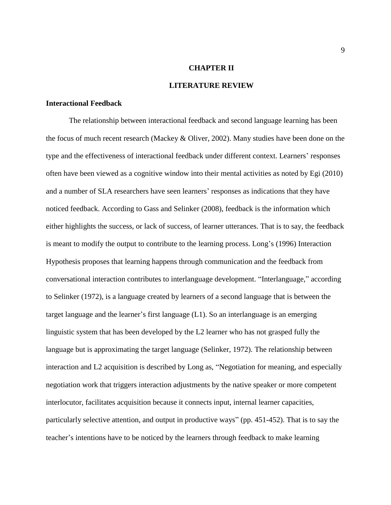#### **CHAPTER II**

#### **LITERATURE REVIEW**

#### **Interactional Feedback**

The relationship between interactional feedback and second language learning has been the focus of much recent research (Mackey & Oliver, 2002). Many studies have been done on the type and the effectiveness of interactional feedback under different context. Learners' responses often have been viewed as a cognitive window into their mental activities as noted by Egi (2010) and a number of SLA researchers have seen learners' responses as indications that they have noticed feedback. According to Gass and Selinker (2008), feedback is the information which either highlights the success, or lack of success, of learner utterances. That is to say, the feedback is meant to modify the output to contribute to the learning process. Long's (1996) Interaction Hypothesis proposes that learning happens through communication and the feedback from conversational interaction contributes to interlanguage development. "Interlanguage," according to Selinker (1972), is a language created by learners of a second language that is between the target language and the learner's first language (L1). So an interlanguage is an emerging linguistic system that has been developed by the L2 learner who has not grasped fully the language but is approximating the target language (Selinker, 1972). The relationship between interaction and L2 acquisition is described by Long as, "Negotiation for meaning, and especially negotiation work that triggers interaction adjustments by the native speaker or more competent interlocutor, facilitates acquisition because it connects input, internal learner capacities, particularly selective attention, and output in productive ways" (pp. 451-452). That is to say the teacher's intentions have to be noticed by the learners through feedback to make learning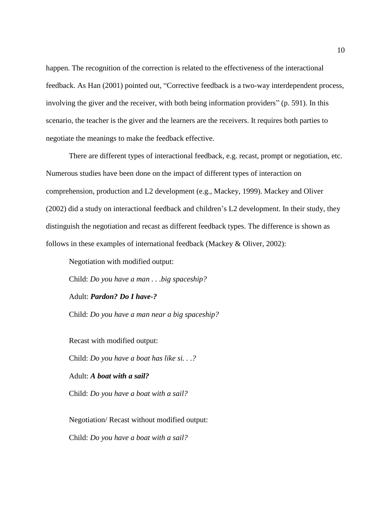happen. The recognition of the correction is related to the effectiveness of the interactional feedback. As Han (2001) pointed out, "Corrective feedback is a two-way interdependent process, involving the giver and the receiver, with both being information providers" (p. 591). In this scenario, the teacher is the giver and the learners are the receivers. It requires both parties to negotiate the meanings to make the feedback effective.

There are different types of interactional feedback, e.g. recast, prompt or negotiation, etc. Numerous studies have been done on the impact of different types of interaction on comprehension, production and L2 development (e.g., Mackey, 1999). Mackey and Oliver (2002) did a study on interactional feedback and children's L2 development. In their study, they distinguish the negotiation and recast as different feedback types. The difference is shown as follows in these examples of international feedback (Mackey & Oliver, 2002):

Negotiation with modified output:

Child: *Do you have a man . . .big spaceship?*

Adult: *Pardon? Do I have-?*

Child: *Do you have a man near a big spaceship?*

Recast with modified output: Child: *Do you have a boat has like si. . .?* Adult: *A boat with a sail?* Child: *Do you have a boat with a sail?*

Negotiation/ Recast without modified output: Child: *Do you have a boat with a sail?*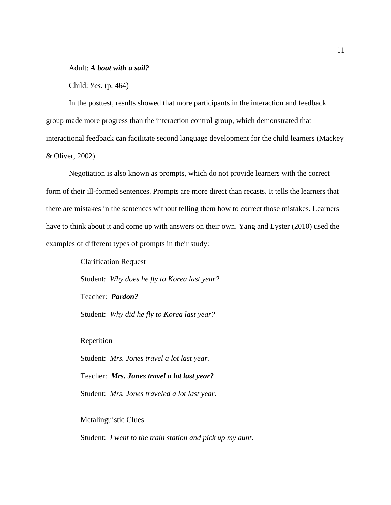Adult: *A boat with a sail?*

Child: *Yes.* (p. 464)

In the posttest, results showed that more participants in the interaction and feedback group made more progress than the interaction control group, which demonstrated that interactional feedback can facilitate second language development for the child learners (Mackey & Oliver, 2002).

Negotiation is also known as prompts, which do not provide learners with the correct form of their ill-formed sentences. Prompts are more direct than recasts. It tells the learners that there are mistakes in the sentences without telling them how to correct those mistakes. Learners have to think about it and come up with answers on their own. Yang and Lyster (2010) used the examples of different types of prompts in their study:

> Clarification Request Student: *Why does he fly to Korea last year?* Teacher: *Pardon?* Student: *Why did he fly to Korea last year?*

Repetition

Student: *Mrs. Jones travel a lot last year.*

Teacher: *Mrs. Jones travel a lot last year?*

Student: *Mrs. Jones traveled a lot last year*.

Metalinguistic Clues

Student: *I went to the train station and pick up my aunt*.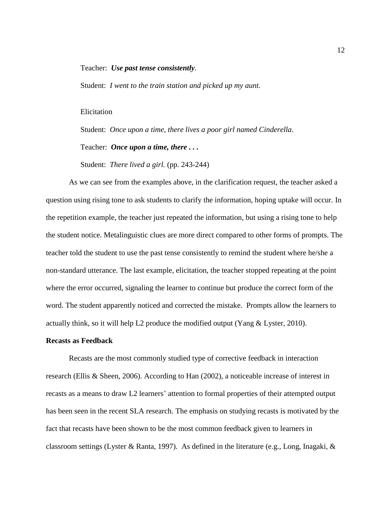#### Teacher: *Use past tense consistently.*

Student: *I went to the train station and picked up my aunt.*

#### Elicitation

Student: *Once upon a time, there lives a poor girl named Cinderella*.

Teacher: *Once upon a time, there . . .*

Student: *There lived a girl.* (pp. 243-244)

As we can see from the examples above, in the clarification request, the teacher asked a question using rising tone to ask students to clarify the information, hoping uptake will occur. In the repetition example, the teacher just repeated the information, but using a rising tone to help the student notice. Metalinguistic clues are more direct compared to other forms of prompts. The teacher told the student to use the past tense consistently to remind the student where he/she a non-standard utterance. The last example, elicitation, the teacher stopped repeating at the point where the error occurred, signaling the learner to continue but produce the correct form of the word. The student apparently noticed and corrected the mistake. Prompts allow the learners to actually think, so it will help L2 produce the modified output (Yang & Lyster, 2010).

#### **Recasts as Feedback**

Recasts are the most commonly studied type of corrective feedback in interaction research (Ellis & Sheen, 2006). According to Han (2002), a noticeable increase of interest in recasts as a means to draw L2 learners' attention to formal properties of their attempted output has been seen in the recent SLA research. The emphasis on studying recasts is motivated by the fact that recasts have been shown to be the most common feedback given to learners in classroom settings (Lyster & Ranta, 1997). As defined in the literature (e.g., Long, Inagaki, &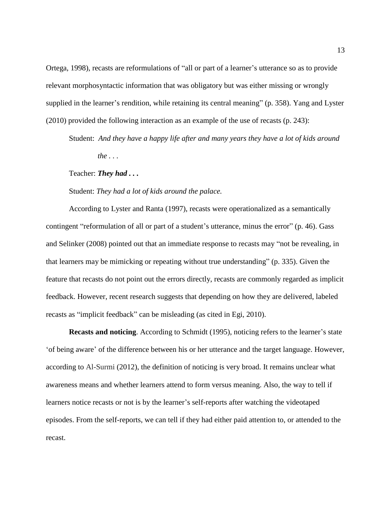Ortega, 1998), recasts are reformulations of "all or part of a learner's utterance so as to provide relevant morphosyntactic information that was obligatory but was either missing or wrongly supplied in the learner's rendition, while retaining its central meaning" (p. 358). Yang and Lyster (2010) provided the following interaction as an example of the use of recasts (p. 243):

Student: *And they have a happy life after and many years they have a lot of kids around the . . .*

Teacher: *They had . . .*

Student: *They had a lot of kids around the palace.*

According to Lyster and Ranta (1997), recasts were operationalized as a semantically contingent "reformulation of all or part of a student's utterance, minus the error" (p. 46). Gass and Selinker (2008) pointed out that an immediate response to recasts may "not be revealing, in that learners may be mimicking or repeating without true understanding" (p. 335). Given the feature that recasts do not point out the errors directly, recasts are commonly regarded as implicit feedback. However, recent research suggests that depending on how they are delivered, labeled recasts as "implicit feedback" can be misleading (as cited in Egi, 2010).

**Recasts and noticing**. According to Schmidt (1995), noticing refers to the learner's state 'of being aware' of the difference between his or her utterance and the target language. However, according to Al-Surmi (2012), the definition of noticing is very broad. It remains unclear what awareness means and whether learners attend to form versus meaning. Also, the way to tell if learners notice recasts or not is by the learner's self-reports after watching the videotaped episodes. From the self-reports, we can tell if they had either paid attention to, or attended to the recast.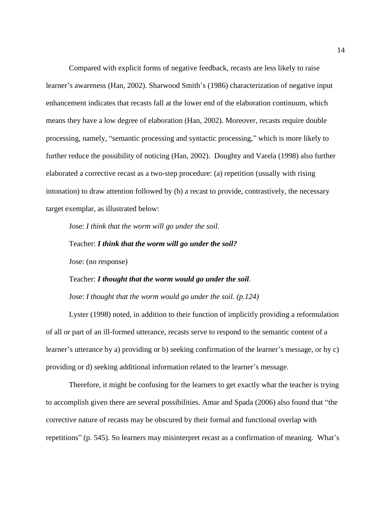Compared with explicit forms of negative feedback, recasts are less likely to raise learner's awareness (Han, 2002). Sharwood Smith's (1986) characterization of negative input enhancement indicates that recasts fall at the lower end of the elaboration continuum, which means they have a low degree of elaboration (Han, 2002). Moreover, recasts require double processing, namely, "semantic processing and syntactic processing," which is more likely to further reduce the possibility of noticing (Han, 2002). Doughty and Varela (1998) also further elaborated a corrective recast as a two-step procedure: (a) repetition (usually with rising intonation) to draw attention followed by (b) a recast to provide, contrastively, the necessary target exemplar, as illustrated below:

Jose: *I think that the worm will go under the soil.* 

Teacher: *I think that the worm will go under the soil?* 

Jose: (no response)

Teacher: *I thought that the worm would go under the soil.*  Jose: *I thought that the worm would go under the soil. (p.124)*

Lyster (1998) noted, in addition to their function of implicitly providing a reformulation of all or part of an ill-formed utterance, recasts serve to respond to the semantic content of a learner's utterance by a) providing or b) seeking confirmation of the learner's message, or by c) providing or d) seeking additional information related to the learner's message.

Therefore, it might be confusing for the learners to get exactly what the teacher is trying to accomplish given there are several possibilities. Amar and Spada (2006) also found that "the corrective nature of recasts may be obscured by their formal and functional overlap with repetitions" (p. 545). So learners may misinterpret recast as a confirmation of meaning. What's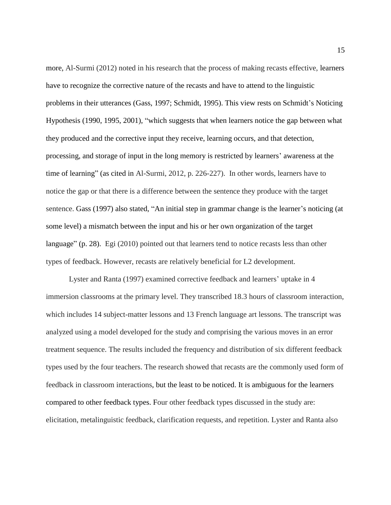more, Al-Surmi (2012) noted in his research that the process of making recasts effective, learners have to recognize the corrective nature of the recasts and have to attend to the linguistic problems in their utterances (Gass, 1997; Schmidt, 1995). This view rests on Schmidt's Noticing Hypothesis (1990, 1995, 2001), "which suggests that when learners notice the gap between what they produced and the corrective input they receive, learning occurs, and that detection, processing, and storage of input in the long memory is restricted by learners' awareness at the time of learning" (as cited in Al-Surmi, 2012, p. 226-227). In other words, learners have to notice the gap or that there is a difference between the sentence they produce with the target sentence. Gass (1997) also stated, "An initial step in grammar change is the learner's noticing (at some level) a mismatch between the input and his or her own organization of the target language" (p. 28). Egi (2010) pointed out that learners tend to notice recasts less than other types of feedback. However, recasts are relatively beneficial for L2 development.

Lyster and Ranta (1997) examined corrective feedback and learners' uptake in 4 immersion classrooms at the primary level. They transcribed 18.3 hours of classroom interaction, which includes 14 subject-matter lessons and 13 French language art lessons. The transcript was analyzed using a model developed for the study and comprising the various moves in an error treatment sequence. The results included the frequency and distribution of six different feedback types used by the four teachers. The research showed that recasts are the commonly used form of feedback in classroom interactions, but the least to be noticed. It is ambiguous for the learners compared to other feedback types. Four other feedback types discussed in the study are: elicitation, metalinguistic feedback, clarification requests, and repetition. Lyster and Ranta also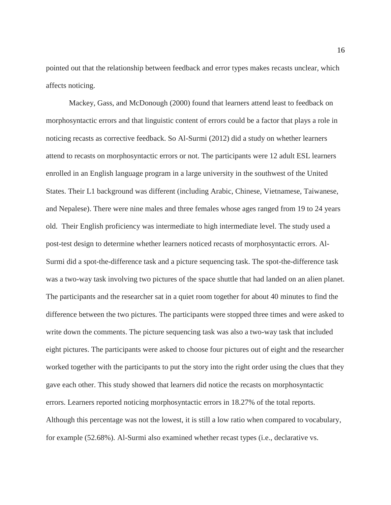pointed out that the relationship between feedback and error types makes recasts unclear, which affects noticing.

Mackey, Gass, and McDonough (2000) found that learners attend least to feedback on morphosyntactic errors and that linguistic content of errors could be a factor that plays a role in noticing recasts as corrective feedback. So Al-Surmi (2012) did a study on whether learners attend to recasts on morphosyntactic errors or not. The participants were 12 adult ESL learners enrolled in an English language program in a large university in the southwest of the United States. Their L1 background was different (including Arabic, Chinese, Vietnamese, Taiwanese, and Nepalese). There were nine males and three females whose ages ranged from 19 to 24 years old. Their English proficiency was intermediate to high intermediate level. The study used a post-test design to determine whether learners noticed recasts of morphosyntactic errors. Al-Surmi did a spot-the-difference task and a picture sequencing task. The spot-the-difference task was a two-way task involving two pictures of the space shuttle that had landed on an alien planet. The participants and the researcher sat in a quiet room together for about 40 minutes to find the difference between the two pictures. The participants were stopped three times and were asked to write down the comments. The picture sequencing task was also a two-way task that included eight pictures. The participants were asked to choose four pictures out of eight and the researcher worked together with the participants to put the story into the right order using the clues that they gave each other. This study showed that learners did notice the recasts on morphosyntactic errors. Learners reported noticing morphosyntactic errors in 18.27% of the total reports. Although this percentage was not the lowest, it is still a low ratio when compared to vocabulary, for example (52.68%). Al-Surmi also examined whether recast types (i.e., declarative vs.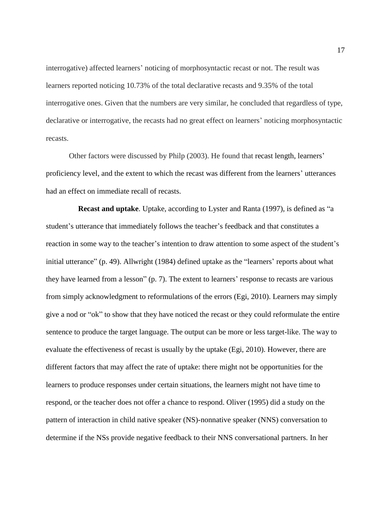interrogative) affected learners' noticing of morphosyntactic recast or not. The result was learners reported noticing 10.73% of the total declarative recasts and 9.35% of the total interrogative ones. Given that the numbers are very similar, he concluded that regardless of type, declarative or interrogative, the recasts had no great effect on learners' noticing morphosyntactic recasts.

Other factors were discussed by Philp (2003). He found that recast length, learners' proficiency level, and the extent to which the recast was different from the learners' utterances had an effect on immediate recall of recasts.

**Recast and uptake**. Uptake, according to Lyster and Ranta (1997), is defined as "a student's utterance that immediately follows the teacher's feedback and that constitutes a reaction in some way to the teacher's intention to draw attention to some aspect of the student's initial utterance" (p. 49). Allwright (1984) defined uptake as the "learners' reports about what they have learned from a lesson" (p. 7). The extent to learners' response to recasts are various from simply acknowledgment to reformulations of the errors (Egi, 2010). Learners may simply give a nod or "ok" to show that they have noticed the recast or they could reformulate the entire sentence to produce the target language. The output can be more or less target-like. The way to evaluate the effectiveness of recast is usually by the uptake (Egi, 2010). However, there are different factors that may affect the rate of uptake: there might not be opportunities for the learners to produce responses under certain situations, the learners might not have time to respond, or the teacher does not offer a chance to respond. Oliver (1995) did a study on the pattern of interaction in child native speaker (NS)-nonnative speaker (NNS) conversation to determine if the NSs provide negative feedback to their NNS conversational partners. In her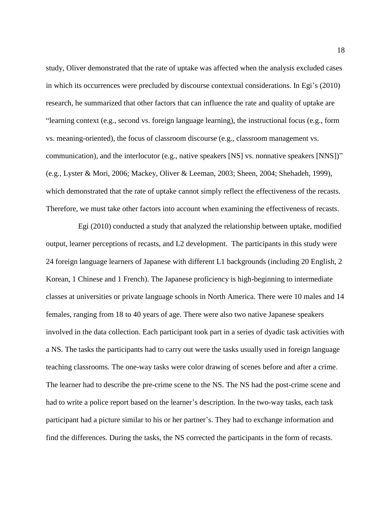study, Oliver demonstrated that the rate of uptake was affected when the analysis excluded cases in which its occurrences were precluded by discourse contextual considerations. In Egi's (2010) research, he summarized that other factors that can influence the rate and quality of uptake are "learning context (e.g., second vs. foreign language learning), the instructional focus (e.g., form vs. meaning-oriented), the focus of classroom discourse (e.g., classroom management vs. communication), and the interlocutor (e.g., native speakers [NS] vs. nonnative speakers [NNS])" (e.g., Lyster & Mori, 2006; Mackey, Oliver & Leeman, 2003; Sheen, 2004; Shehadeh, 1999), which demonstrated that the rate of uptake cannot simply reflect the effectiveness of the recasts. Therefore, we must take other factors into account when examining the effectiveness of recasts.

Egi (2010) conducted a study that analyzed the relationship between uptake, modified output, learner perceptions of recasts, and L2 development. The participants in this study were 24 foreign language learners of Japanese with different L1 backgrounds (including 20 English, 2 Korean, 1 Chinese and 1 French). The Japanese proficiency is high-beginning to intermediate classes at universities or private language schools in North America. There were 10 males and 14 females, ranging from 18 to 40 years of age. There were also two native Japanese speakers involved in the data collection. Each participant took part in a series of dyadic task activities with a NS. The tasks the participants had to carry out were the tasks usually used in foreign language teaching classrooms. The one-way tasks were color drawing of scenes before and after a crime. The learner had to describe the pre-crime scene to the NS. The NS had the post-crime scene and had to write a police report based on the learner's description. In the two-way tasks, each task participant had a picture similar to his or her partner's. They had to exchange information and find the differences. During the tasks, the NS corrected the participants in the form of recasts.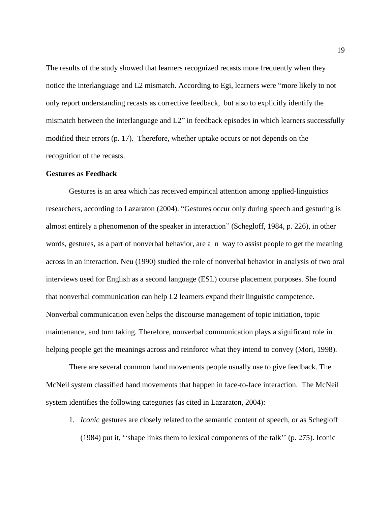The results of the study showed that learners recognized recasts more frequently when they notice the interlanguage and L2 mismatch. According to Egi, learners were "more likely to not only report understanding recasts as corrective feedback, but also to explicitly identify the mismatch between the interlanguage and L2" in feedback episodes in which learners successfully modified their errors (p. 17). Therefore, whether uptake occurs or not depends on the recognition of the recasts.

#### **Gestures as Feedback**

Gestures is an area which has received empirical attention among applied-linguistics researchers, according to Lazaraton (2004). "Gestures occur only during speech and gesturing is almost entirely a phenomenon of the speaker in interaction" (Schegloff, 1984, p. 226), in other words, gestures, as a part of nonverbal behavior, are a n way to assist people to get the meaning across in an interaction. Neu (1990) studied the role of nonverbal behavior in analysis of two oral interviews used for English as a second language (ESL) course placement purposes. She found that nonverbal communication can help L2 learners expand their linguistic competence. Nonverbal communication even helps the discourse management of topic initiation, topic maintenance, and turn taking. Therefore, nonverbal communication plays a significant role in helping people get the meanings across and reinforce what they intend to convey (Mori, 1998).

There are several common hand movements people usually use to give feedback. The McNeil system classified hand movements that happen in face-to-face interaction. The McNeil system identifies the following categories (as cited in Lazaraton, 2004):

1. *Iconic* gestures are closely related to the semantic content of speech, or as Schegloff (1984) put it, ''shape links them to lexical components of the talk'' (p. 275). Iconic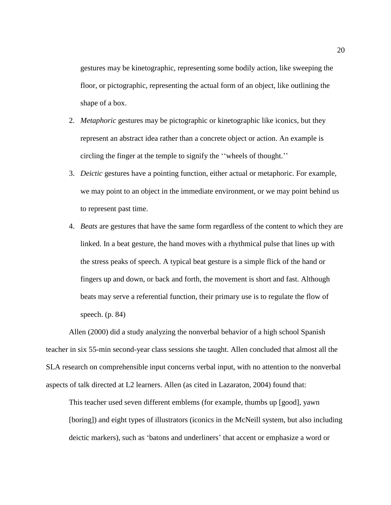gestures may be kinetographic, representing some bodily action, like sweeping the floor, or pictographic, representing the actual form of an object, like outlining the shape of a box.

- 2. *Metaphoric* gestures may be pictographic or kinetographic like iconics, but they represent an abstract idea rather than a concrete object or action. An example is circling the finger at the temple to signify the ''wheels of thought.''
- 3. *Deictic* gestures have a pointing function, either actual or metaphoric. For example, we may point to an object in the immediate environment, or we may point behind us to represent past time.
- 4. *Beats* are gestures that have the same form regardless of the content to which they are linked. In a beat gesture, the hand moves with a rhythmical pulse that lines up with the stress peaks of speech. A typical beat gesture is a simple flick of the hand or fingers up and down, or back and forth, the movement is short and fast. Although beats may serve a referential function, their primary use is to regulate the flow of speech. (p. 84)

Allen (2000) did a study analyzing the nonverbal behavior of a high school Spanish teacher in six 55-min second-year class sessions she taught. Allen concluded that almost all the SLA research on comprehensible input concerns verbal input, with no attention to the nonverbal aspects of talk directed at L2 learners. Allen (as cited in Lazaraton, 2004) found that:

This teacher used seven different emblems (for example, thumbs up [good], yawn [boring]) and eight types of illustrators (iconics in the McNeill system, but also including deictic markers), such as 'batons and underliners' that accent or emphasize a word or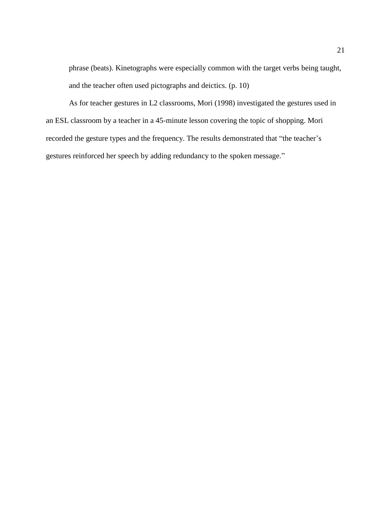phrase (beats). Kinetographs were especially common with the target verbs being taught, and the teacher often used pictographs and deictics. (p. 10)

As for teacher gestures in L2 classrooms, Mori (1998) investigated the gestures used in an ESL classroom by a teacher in a 45-minute lesson covering the topic of shopping. Mori recorded the gesture types and the frequency. The results demonstrated that "the teacher's gestures reinforced her speech by adding redundancy to the spoken message."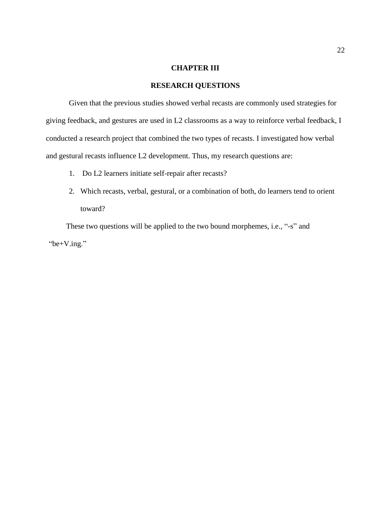### **CHAPTER III**

# **RESEARCH QUESTIONS**

Given that the previous studies showed verbal recasts are commonly used strategies for giving feedback, and gestures are used in L2 classrooms as a way to reinforce verbal feedback, I conducted a research project that combined the two types of recasts. I investigated how verbal and gestural recasts influence L2 development. Thus, my research questions are:

- 1. Do L2 learners initiate self-repair after recasts?
- 2. Which recasts, verbal, gestural, or a combination of both, do learners tend to orient toward?

These two questions will be applied to the two bound morphemes, i.e., "-s" and "be+V.ing."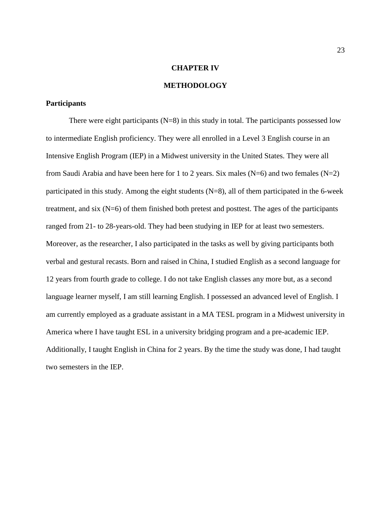#### **CHAPTER IV**

# **METHODOLOGY**

#### **Participants**

There were eight participants  $(N=8)$  in this study in total. The participants possessed low to intermediate English proficiency. They were all enrolled in a Level 3 English course in an Intensive English Program (IEP) in a Midwest university in the United States. They were all from Saudi Arabia and have been here for 1 to 2 years. Six males ( $N=6$ ) and two females ( $N=2$ ) participated in this study. Among the eight students (N=8), all of them participated in the 6-week treatment, and six (N=6) of them finished both pretest and posttest. The ages of the participants ranged from 21- to 28-years-old. They had been studying in IEP for at least two semesters. Moreover, as the researcher, I also participated in the tasks as well by giving participants both verbal and gestural recasts. Born and raised in China, I studied English as a second language for 12 years from fourth grade to college. I do not take English classes any more but, as a second language learner myself, I am still learning English. I possessed an advanced level of English. I am currently employed as a graduate assistant in a MA TESL program in a Midwest university in America where I have taught ESL in a university bridging program and a pre-academic IEP. Additionally, I taught English in China for 2 years. By the time the study was done, I had taught two semesters in the IEP.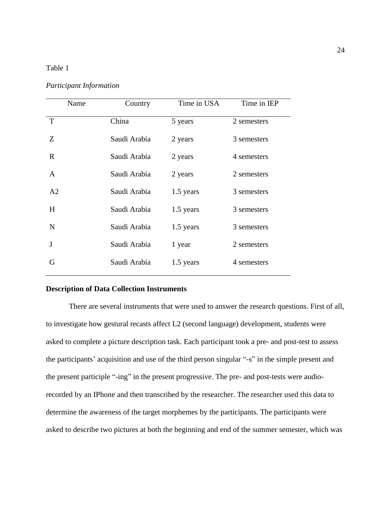## Table 1

*Participant Information* 

| Name           | Country      | Time in USA | Time in IEP |
|----------------|--------------|-------------|-------------|
| T              | China        | 5 years     | 2 semesters |
| Z              | Saudi Arabia | 2 years     | 3 semesters |
| R.             | Saudi Arabia | 2 years     | 4 semesters |
| $\mathsf{A}$   | Saudi Arabia | 2 years     | 2 semesters |
| A <sub>2</sub> | Saudi Arabia | 1.5 years   | 3 semesters |
| H              | Saudi Arabia | 1.5 years   | 3 semesters |
| N              | Saudi Arabia | 1.5 years   | 3 semesters |
| J              | Saudi Arabia | 1 year      | 2 semesters |
| G              | Saudi Arabia | 1.5 years   | 4 semesters |

# **Description of Data Collection Instruments**

There are several instruments that were used to answer the research questions. First of all, to investigate how gestural recasts affect L2 (second language) development, students were asked to complete a picture description task. Each participant took a pre- and post-test to assess the participants' acquisition and use of the third person singular "-s" in the simple present and the present participle "-ing" in the present progressive. The pre- and post-tests were audiorecorded by an IPhone and then transcribed by the researcher. The researcher used this data to determine the awareness of the target morphemes by the participants. The participants were asked to describe two pictures at both the beginning and end of the summer semester, which was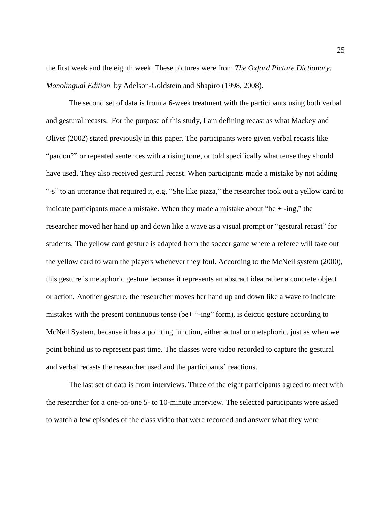the first week and the eighth week. These pictures were from *The Oxford Picture Dictionary: Monolingual Edition* by Adelson-Goldstein and Shapiro (1998, 2008).

The second set of data is from a 6-week treatment with the participants using both verbal and gestural recasts. For the purpose of this study, I am defining recast as what Mackey and Oliver (2002) stated previously in this paper. The participants were given verbal recasts like "pardon?" or repeated sentences with a rising tone, or told specifically what tense they should have used. They also received gestural recast. When participants made a mistake by not adding "-s" to an utterance that required it, e.g. "She like pizza," the researcher took out a yellow card to indicate participants made a mistake. When they made a mistake about "be  $+$ -ing," the researcher moved her hand up and down like a wave as a visual prompt or "gestural recast" for students. The yellow card gesture is adapted from the soccer game where a referee will take out the yellow card to warn the players whenever they foul. According to the McNeil system (2000), this gesture is metaphoric gesture because it represents an abstract idea rather a concrete object or action. Another gesture, the researcher moves her hand up and down like a wave to indicate mistakes with the present continuous tense (be+ "-ing" form), is deictic gesture according to McNeil System, because it has a pointing function, either actual or metaphoric, just as when we point behind us to represent past time. The classes were video recorded to capture the gestural and verbal recasts the researcher used and the participants' reactions.

The last set of data is from interviews. Three of the eight participants agreed to meet with the researcher for a one-on-one 5- to 10-minute interview. The selected participants were asked to watch a few episodes of the class video that were recorded and answer what they were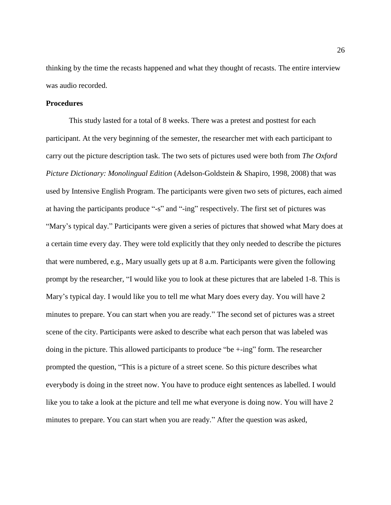thinking by the time the recasts happened and what they thought of recasts. The entire interview was audio recorded.

#### **Procedures**

This study lasted for a total of 8 weeks. There was a pretest and posttest for each participant. At the very beginning of the semester, the researcher met with each participant to carry out the picture description task. The two sets of pictures used were both from *The Oxford Picture Dictionary: Monolingual Edition* (Adelson-Goldstein & Shapiro, 1998, 2008) that was used by Intensive English Program. The participants were given two sets of pictures, each aimed at having the participants produce "-s" and "-ing" respectively. The first set of pictures was "Mary's typical day." Participants were given a series of pictures that showed what Mary does at a certain time every day. They were told explicitly that they only needed to describe the pictures that were numbered, e.g., Mary usually gets up at 8 a.m. Participants were given the following prompt by the researcher, "I would like you to look at these pictures that are labeled 1-8. This is Mary's typical day. I would like you to tell me what Mary does every day. You will have 2 minutes to prepare. You can start when you are ready." The second set of pictures was a street scene of the city. Participants were asked to describe what each person that was labeled was doing in the picture. This allowed participants to produce "be +-ing" form. The researcher prompted the question, "This is a picture of a street scene. So this picture describes what everybody is doing in the street now. You have to produce eight sentences as labelled. I would like you to take a look at the picture and tell me what everyone is doing now. You will have 2 minutes to prepare. You can start when you are ready." After the question was asked,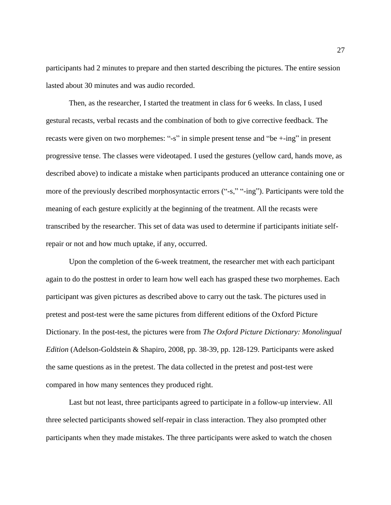participants had 2 minutes to prepare and then started describing the pictures. The entire session lasted about 30 minutes and was audio recorded.

Then, as the researcher, I started the treatment in class for 6 weeks. In class, I used gestural recasts, verbal recasts and the combination of both to give corrective feedback. The recasts were given on two morphemes: "-s" in simple present tense and "be +-ing" in present progressive tense. The classes were videotaped. I used the gestures (yellow card, hands move, as described above) to indicate a mistake when participants produced an utterance containing one or more of the previously described morphosyntactic errors ("-s," "-ing"). Participants were told the meaning of each gesture explicitly at the beginning of the treatment. All the recasts were transcribed by the researcher. This set of data was used to determine if participants initiate selfrepair or not and how much uptake, if any, occurred.

Upon the completion of the 6-week treatment, the researcher met with each participant again to do the posttest in order to learn how well each has grasped these two morphemes. Each participant was given pictures as described above to carry out the task. The pictures used in pretest and post-test were the same pictures from different editions of the Oxford Picture Dictionary. In the post-test, the pictures were from *The Oxford Picture Dictionary: Monolingual Edition* (Adelson-Goldstein & Shapiro, 2008, pp. 38-39, pp. 128-129. Participants were asked the same questions as in the pretest. The data collected in the pretest and post-test were compared in how many sentences they produced right.

Last but not least, three participants agreed to participate in a follow-up interview. All three selected participants showed self-repair in class interaction. They also prompted other participants when they made mistakes. The three participants were asked to watch the chosen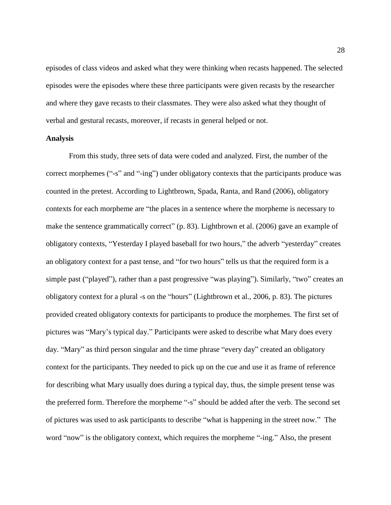episodes of class videos and asked what they were thinking when recasts happened. The selected episodes were the episodes where these three participants were given recasts by the researcher and where they gave recasts to their classmates. They were also asked what they thought of verbal and gestural recasts, moreover, if recasts in general helped or not.

#### **Analysis**

From this study, three sets of data were coded and analyzed. First, the number of the correct morphemes ("-s" and "-ing") under obligatory contexts that the participants produce was counted in the pretest. According to Lightbrown, Spada, Ranta, and Rand (2006), obligatory contexts for each morpheme are "the places in a sentence where the morpheme is necessary to make the sentence grammatically correct" (p. 83). Lightbrown et al. (2006) gave an example of obligatory contexts, "Yesterday I played baseball for two hours," the adverb "yesterday" creates an obligatory context for a past tense, and "for two hours" tells us that the required form is a simple past ("played"), rather than a past progressive "was playing"). Similarly, "two" creates an obligatory context for a plural -s on the "hours" (Lightbrown et al., 2006, p. 83). The pictures provided created obligatory contexts for participants to produce the morphemes. The first set of pictures was "Mary's typical day." Participants were asked to describe what Mary does every day. "Mary" as third person singular and the time phrase "every day" created an obligatory context for the participants. They needed to pick up on the cue and use it as frame of reference for describing what Mary usually does during a typical day, thus, the simple present tense was the preferred form. Therefore the morpheme "-s" should be added after the verb. The second set of pictures was used to ask participants to describe "what is happening in the street now." The word "now" is the obligatory context, which requires the morpheme "-ing." Also, the present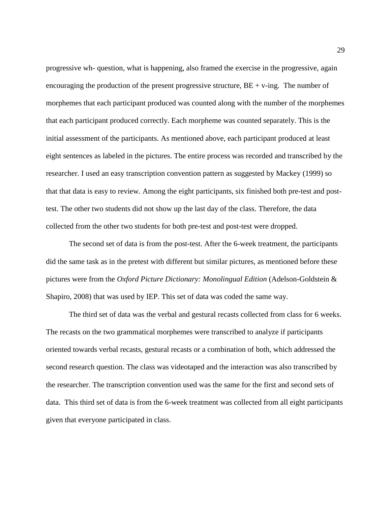progressive wh- question, what is happening, also framed the exercise in the progressive, again encouraging the production of the present progressive structure,  $BE + v$ -ing. The number of morphemes that each participant produced was counted along with the number of the morphemes that each participant produced correctly. Each morpheme was counted separately. This is the initial assessment of the participants. As mentioned above, each participant produced at least eight sentences as labeled in the pictures. The entire process was recorded and transcribed by the researcher. I used an easy transcription convention pattern as suggested by Mackey (1999) so that that data is easy to review. Among the eight participants, six finished both pre-test and posttest. The other two students did not show up the last day of the class. Therefore, the data collected from the other two students for both pre-test and post-test were dropped.

The second set of data is from the post-test. After the 6-week treatment, the participants did the same task as in the pretest with different but similar pictures, as mentioned before these pictures were from the *Oxford Picture Dictionary: Monolingual Edition* (Adelson-Goldstein & Shapiro, 2008) that was used by IEP. This set of data was coded the same way.

The third set of data was the verbal and gestural recasts collected from class for 6 weeks. The recasts on the two grammatical morphemes were transcribed to analyze if participants oriented towards verbal recasts, gestural recasts or a combination of both, which addressed the second research question. The class was videotaped and the interaction was also transcribed by the researcher. The transcription convention used was the same for the first and second sets of data. This third set of data is from the 6-week treatment was collected from all eight participants given that everyone participated in class.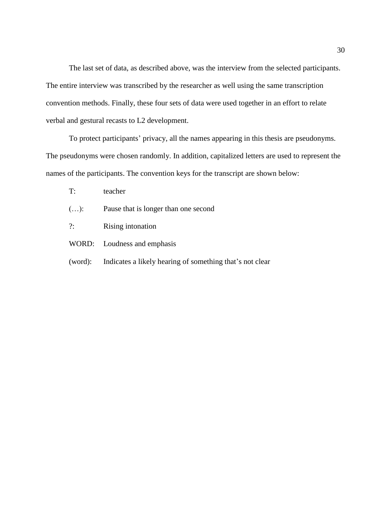The last set of data, as described above, was the interview from the selected participants. The entire interview was transcribed by the researcher as well using the same transcription convention methods. Finally, these four sets of data were used together in an effort to relate verbal and gestural recasts to L2 development.

To protect participants' privacy, all the names appearing in this thesis are pseudonyms. The pseudonyms were chosen randomly. In addition, capitalized letters are used to represent the names of the participants. The convention keys for the transcript are shown below:

- T: teacher
- (…): Pause that is longer than one second
- ?: Rising intonation

WORD: Loudness and emphasis

(word): Indicates a likely hearing of something that's not clear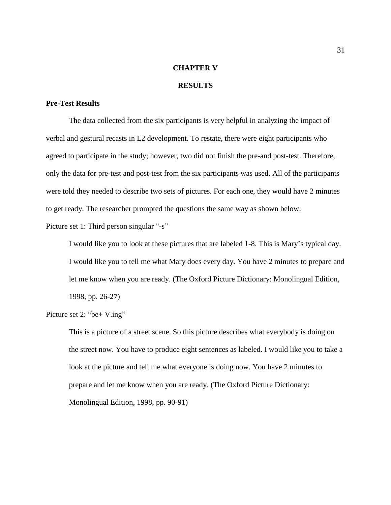## **CHAPTER V**

#### **RESULTS**

#### **Pre-Test Results**

The data collected from the six participants is very helpful in analyzing the impact of verbal and gestural recasts in L2 development. To restate, there were eight participants who agreed to participate in the study; however, two did not finish the pre-and post-test. Therefore, only the data for pre-test and post-test from the six participants was used. All of the participants were told they needed to describe two sets of pictures. For each one, they would have 2 minutes to get ready. The researcher prompted the questions the same way as shown below:

Picture set 1: Third person singular "-s"

I would like you to look at these pictures that are labeled 1-8. This is Mary's typical day. I would like you to tell me what Mary does every day. You have 2 minutes to prepare and let me know when you are ready. (The Oxford Picture Dictionary: Monolingual Edition, 1998, pp. 26-27)

Picture set 2: "be + V.ing"

This is a picture of a street scene. So this picture describes what everybody is doing on the street now. You have to produce eight sentences as labeled. I would like you to take a look at the picture and tell me what everyone is doing now. You have 2 minutes to prepare and let me know when you are ready. (The Oxford Picture Dictionary: Monolingual Edition, 1998, pp. 90-91)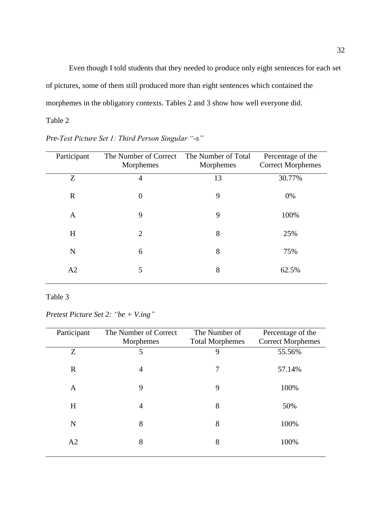Even though I told students that they needed to produce only eight sentences for each set of pictures, some of them still produced more than eight sentences which contained the morphemes in the obligatory contexts. Tables 2 and 3 show how well everyone did.

# Table 2

| Participant | The Number of Correct<br>Morphemes | The Number of Total<br>Morphemes | Percentage of the<br><b>Correct Morphemes</b> |
|-------------|------------------------------------|----------------------------------|-----------------------------------------------|
| Z           | 4                                  | 13                               | 30.77%                                        |
| $\mathbf R$ | $\overline{0}$                     | 9                                | 0%                                            |
| A           | 9                                  | 9                                | 100%                                          |
| H           | $\overline{2}$                     | 8                                | 25%                                           |
| $\mathbf N$ | 6                                  | 8                                | 75%                                           |
| A2          | 5                                  | 8                                | 62.5%                                         |

*Pre-Test Picture Set 1: Third Person Singular "-s"*

# Table 3

*Pretest Picture Set 2: "be + V.ing"* 

| Participant | The Number of Correct<br>Morphemes | The Number of<br><b>Total Morphemes</b> | Percentage of the<br><b>Correct Morphemes</b> |
|-------------|------------------------------------|-----------------------------------------|-----------------------------------------------|
| Z           | 5                                  | 9                                       | 55.56%                                        |
| $\mathbf R$ | 4                                  | 7                                       | 57.14%                                        |
| A           | 9                                  | 9                                       | 100%                                          |
| H           | $\overline{4}$                     | 8                                       | 50%                                           |
| N           | 8                                  | 8                                       | 100%                                          |
| A2          | 8                                  | 8                                       | 100%                                          |
|             |                                    |                                         |                                               |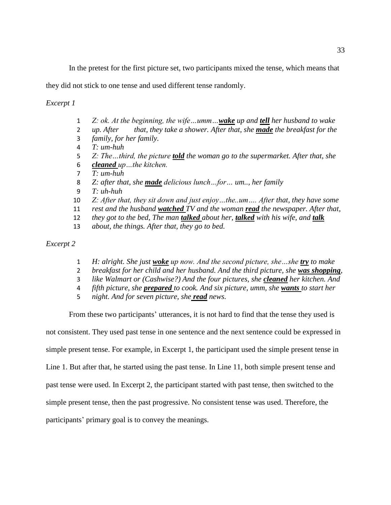In the pretest for the first picture set, two participants mixed the tense, which means that

they did not stick to one tense and used different tense randomly.

*Excerpt 1*

- *Z: ok. At the beginning, the wife…umm…wake up and tell her husband to wake*
- *up. After that, they take a shower. After that, she made the breakfast for the*
- *family, for her family.*
- *T: um-huh*
- *Z: The…third, the picture told the woman go to the supermarket. After that, she cleaned up…the kitchen.*
- *T: um-huh*
- *Z: after that, she made delicious lunch…for… um.., her family*
- *T: uh-huh*
- *Z: After that, they sit down and just enjoy…the..um…. After that, they have some*
- *rest and the husband watched TV and the woman read the newspaper. After that,*
- *they got to the bed, The man talked about her, talked with his wife, and talk*
- *about, the things. After that, they go to bed.*

*Excerpt 2*

- *H: alright. She just woke up now. And the second picture, she…she try to make*
- *breakfast for her child and her husband. And the third picture, she was shopping,*
- *like Walmart or (Cashwise?) And the four pictures, she cleaned her kitchen. And*
- *fifth picture, she prepared to cook. And six picture, umm, she wants to start her*
- *night. And for seven picture, she read news.*

From these two participants' utterances, it is not hard to find that the tense they used is

not consistent. They used past tense in one sentence and the next sentence could be expressed in

simple present tense. For example, in Excerpt 1, the participant used the simple present tense in

Line 1. But after that, he started using the past tense. In Line 11, both simple present tense and

past tense were used. In Excerpt 2, the participant started with past tense, then switched to the

simple present tense, then the past progressive. No consistent tense was used. Therefore, the

participants' primary goal is to convey the meanings.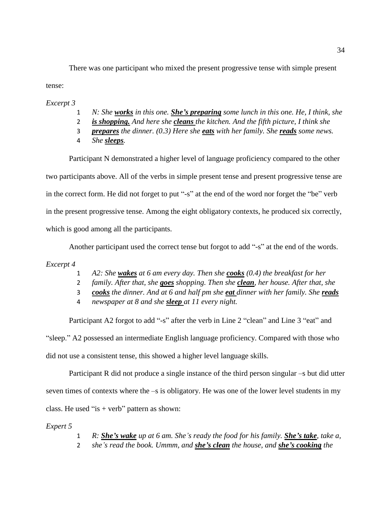There was one participant who mixed the present progressive tense with simple present tense:

*Excerpt 3*

- 1 *N: She works in this one. She's preparing some lunch in this one. He, I think, she*
- 2 *is shopping. And here she cleans the kitchen. And the fifth picture, I think she*
- 3 *prepares the dinner. (0.3) Here she eats with her family. She reads some news.*
- 4 *She sleeps.*

Participant N demonstrated a higher level of language proficiency compared to the other

two participants above. All of the verbs in simple present tense and present progressive tense are

in the correct form. He did not forget to put "-s" at the end of the word nor forget the "be" verb

in the present progressive tense. Among the eight obligatory contexts, he produced six correctly,

which is good among all the participants.

Another participant used the correct tense but forgot to add "-s" at the end of the words.

*Excerpt 4*

- 1 *A2: She wakes at 6 am every day. Then she cooks (0.4) the breakfast for her*
- 2 *family. After that, she goes shopping. Then she clean, her house. After that, she*
- 3 *cooks the dinner. And at 6 and half pm she eat dinner with her family. She reads*
- 4 *newspaper at 8 and she sleep at 11 every night.*

Participant A2 forgot to add "-s" after the verb in Line 2 "clean" and Line 3 "eat" and "sleep." A2 possessed an intermediate English language proficiency. Compared with those who did not use a consistent tense, this showed a higher level language skills.

Participant R did not produce a single instance of the third person singular –s but did utter seven times of contexts where the –s is obligatory. He was one of the lower level students in my class. He used "is + verb" pattern as shown:

*Expert 5*

- 1 *R: She's wake up at 6 am. She's ready the food for his family. She's take, take a,*
- 2 *she's read the book. Ummm, and she's clean the house, and she's cooking the*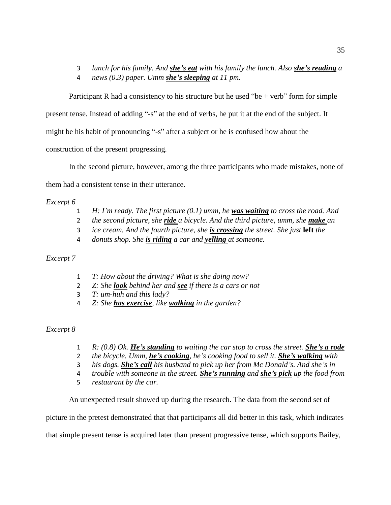- 3 *lunch for his family. And she's eat with his family the lunch. Also she's reading a*
- 4 *news (0.3) paper. Umm she's sleeping at 11 pm.*

Participant R had a consistency to his structure but he used "be  $+$  verb" form for simple

present tense. Instead of adding "-s" at the end of verbs, he put it at the end of the subject. It

might be his habit of pronouncing "-s" after a subject or he is confused how about the

construction of the present progressing.

In the second picture, however, among the three participants who made mistakes, none of

them had a consistent tense in their utterance.

# *Excerpt 6*

- 1 *H: I'm ready. The first picture (0.1) umm, he was waiting to cross the road. And*
- 2 *the second picture, she ride a bicycle. And the third picture, umm, she make an*
- 3 *ice cream. And the fourth picture, she is crossing the street. She just* **left** *the*
- 4 *donuts shop. She is riding a car and yelling at someone.*

# *Excerpt 7*

- 1 *T: How about the driving? What is she doing now?*
- 2 *Z: She look behind her and see if there is a cars or not*
- 3 *T: um-huh and this lady?*
- 4 *Z: She has exercise, like walking in the garden?*

# *Excerpt 8*

- 1 *R: (0.8) Ok. He's standing to waiting the car stop to cross the street. She's a rode*
- 2 *the bicycle. Umm, he's cooking, he's cooking food to sell it. She's walking with*
- 3 *his dogs. She's call his husband to pick up her from Mc Donald's. And she's in*
- 4 *trouble with someone in the street. She's running and she's pick up the food from*
- 5 *restaurant by the car.*

An unexpected result showed up during the research. The data from the second set of

picture in the pretest demonstrated that that participants all did better in this task, which indicates

that simple present tense is acquired later than present progressive tense, which supports Bailey,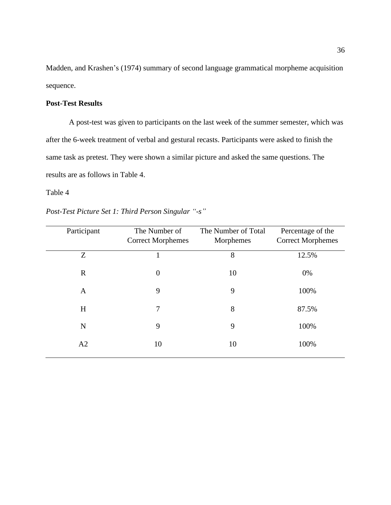Madden, and Krashen's (1974) summary of second language grammatical morpheme acquisition sequence.

# **Post-Test Results**

A post-test was given to participants on the last week of the summer semester, which was after the 6-week treatment of verbal and gestural recasts. Participants were asked to finish the same task as pretest. They were shown a similar picture and asked the same questions. The results are as follows in Table 4.

#### Table 4

| Post-Test Picture Set 1: Third Person Singular "-s" |  |  |  |
|-----------------------------------------------------|--|--|--|
|                                                     |  |  |  |

| Participant | The Number of            | The Number of Total | Percentage of the        |
|-------------|--------------------------|---------------------|--------------------------|
|             | <b>Correct Morphemes</b> | Morphemes           | <b>Correct Morphemes</b> |
| Z           |                          | 8                   | 12.5%                    |
| $\mathbf R$ | $\boldsymbol{0}$         | 10                  | 0%                       |
| A           | 9                        | 9                   | 100%                     |
| H           | 7                        | 8                   | 87.5%                    |
| N           | 9                        | 9                   | 100%                     |
| A2          | 10                       | 10                  | 100%                     |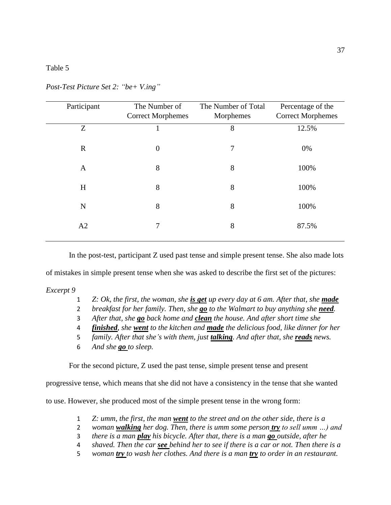#### Table 5

| Participant  | The Number of<br><b>Correct Morphemes</b> | The Number of Total<br>Morphemes | Percentage of the<br><b>Correct Morphemes</b> |
|--------------|-------------------------------------------|----------------------------------|-----------------------------------------------|
| Z            | 1                                         | 8                                | 12.5%                                         |
| $\mathbf{R}$ | $\boldsymbol{0}$                          | 7                                | 0%                                            |
| A            | 8                                         | 8                                | 100%                                          |
| H            | 8                                         | 8                                | 100%                                          |
| N            | 8                                         | 8                                | 100%                                          |
| A2           | 7                                         | 8                                | 87.5%                                         |

*Post-Test Picture Set 2: "be+ V.ing"*

In the post-test, participant Z used past tense and simple present tense. She also made lots

of mistakes in simple present tense when she was asked to describe the first set of the pictures:

#### *Excerpt 9*

- 1 *Z: Ok, the first, the woman, she is get up every day at 6 am. After that, she made*
- 2 *breakfast for her family. Then, she go to the Walmart to buy anything she need.*
- 3 *After that, she go back home and clean the house. And after short time she*
- 4 *finished, she went to the kitchen and made the delicious food, like dinner for her*
- 5 *family. After that she's with them, just talking. And after that, she reads news.*
- 6 *And she go to sleep.*

For the second picture, Z used the past tense, simple present tense and present

progressive tense, which means that she did not have a consistency in the tense that she wanted

to use. However, she produced most of the simple present tense in the wrong form:

- 1 *Z: umm, the first, the man went to the street and on the other side, there is a*
- 2 *woman walking her dog. Then, there is umm some person try to sell umm …) and*
- 3 *there is a man play his bicycle. After that, there is a man go outside, after he*
- 4 *shaved. Then the car see behind her to see if there is a car or not. Then there is a*
- 5 *woman try to wash her clothes. And there is a man try to order in an restaurant.*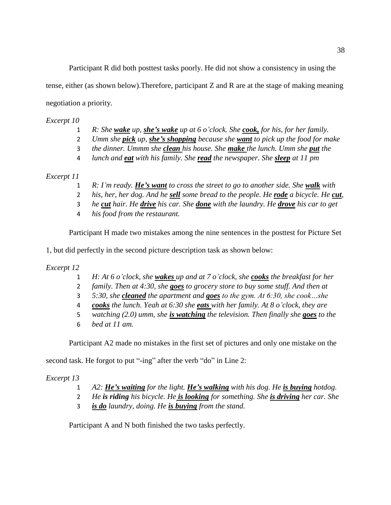Participant R did both posttest tasks poorly. He did not show a consistency in using the tense, either (as shown below).Therefore, participant Z and R are at the stage of making meaning negotiation a priority.

*Excerpt 10*

- 1 *R: She wake up, she's wake up at 6 o'clock. She cook, for his, for her family.*
- 2 *Umm she pick up, she's shopping because she want to pick up the food for make*
- 3 *the dinner. Ummm she clean his house. She make the lunch. Umm she put the*
- 4 *lunch and eat with his family. She read the newspaper. She sleep at 11 pm*

### *Excerpt 11*

- 1 *R: I'm ready. He's want to cross the street to go to another side. She walk with*
- 2 *his, her, her dog. And he sell some bread to the people. He rode a bicycle. He cut,*
- 3 *he cut hair. He drive his car. She done with the laundry. He drove his car to get*
- 4 *his food from the restaurant.*

Participant H made two mistakes among the nine sentences in the posttest for Picture Set

1, but did perfectly in the second picture description task as shown below:

#### *Excerpt 12*

- 1 *H: At 6 o'clock, she wakes up and at 7 o'clock, she cooks the breakfast for her*
- 2 *family. Then at 4:30, she goes to grocery store to buy some stuff. And then at*
- 3 *5:30, she cleaned the apartment and goes to the gym. At 6:30, she cook…she*
- 4 *cooks the lunch. Yeah at 6:30 she eats with her family. At 8 o'clock, they are*
- 5 *watching (2.0) umm, she is watching the television. Then finally she goes to the*
- 6 *bed at 11 am.*

Participant A2 made no mistakes in the first set of pictures and only one mistake on the

second task. He forgot to put "-ing" after the verb "do" in Line 2:

*Excerpt 13*

- 1 *A2: He's waiting for the light. He's walking with his dog. He is buying hotdog.*
- 2 *He is riding his bicycle. He is looking for something. She is driving her car. She*
- 3 *is do laundry, doing. He is buying from the stand.*

Participant A and N both finished the two tasks perfectly.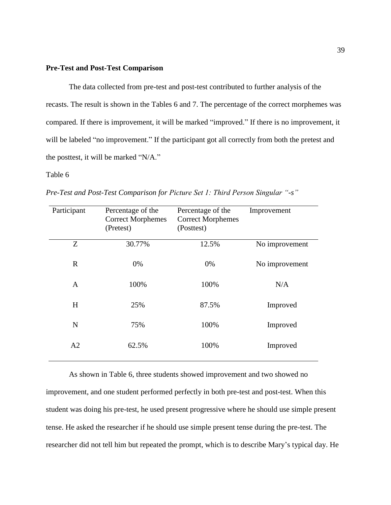#### **Pre-Test and Post-Test Comparison**

The data collected from pre-test and post-test contributed to further analysis of the recasts. The result is shown in the Tables 6 and 7. The percentage of the correct morphemes was compared. If there is improvement, it will be marked "improved." If there is no improvement, it will be labeled "no improvement." If the participant got all correctly from both the pretest and the posttest, it will be marked "N/A."

#### Table 6

| Participant  | Percentage of the<br><b>Correct Morphemes</b><br>(Pretest) | Percentage of the<br><b>Correct Morphemes</b><br>(Posttest) | Improvement    |
|--------------|------------------------------------------------------------|-------------------------------------------------------------|----------------|
| Z            | 30.77%                                                     | 12.5%                                                       | No improvement |
| $\mathbf R$  | 0%                                                         | 0%                                                          | No improvement |
| $\mathbf{A}$ | 100%                                                       | 100%                                                        | N/A            |
| H            | 25%                                                        | 87.5%                                                       | Improved       |
| $\mathbf N$  | 75%                                                        | 100%                                                        | Improved       |
| A2           | 62.5%                                                      | 100%                                                        | Improved       |

*Pre-Test and Post-Test Comparison for Picture Set 1: Third Person Singular "-s"*

As shown in Table 6, three students showed improvement and two showed no improvement, and one student performed perfectly in both pre-test and post-test. When this student was doing his pre-test, he used present progressive where he should use simple present tense. He asked the researcher if he should use simple present tense during the pre-test. The researcher did not tell him but repeated the prompt, which is to describe Mary's typical day. He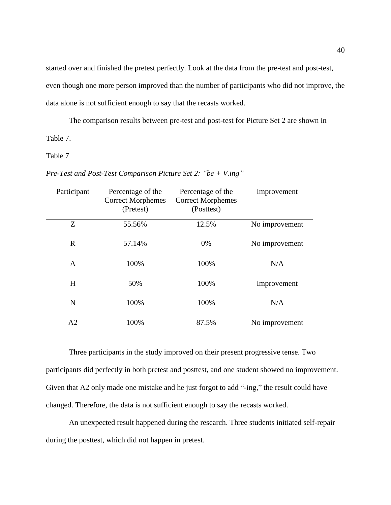started over and finished the pretest perfectly. Look at the data from the pre-test and post-test, even though one more person improved than the number of participants who did not improve, the data alone is not sufficient enough to say that the recasts worked.

The comparison results between pre-test and post-test for Picture Set 2 are shown in Table 7.

Table 7

*Pre-Test and Post-Test Comparison Picture Set 2: "be + V.ing"*

| Participant    | Percentage of the<br><b>Correct Morphemes</b> | Percentage of the<br><b>Correct Morphemes</b> | Improvement    |
|----------------|-----------------------------------------------|-----------------------------------------------|----------------|
|                | (Pretest)                                     | (Posttest)                                    |                |
| Z              | 55.56%                                        | 12.5%                                         | No improvement |
| $\mathbf R$    | 57.14%                                        | 0%                                            | No improvement |
| $\mathbf{A}$   | 100%                                          | 100%                                          | N/A            |
| H              | 50%                                           | 100%                                          | Improvement    |
| $\mathbf N$    | 100%                                          | 100%                                          | N/A            |
| A <sub>2</sub> | 100%                                          | 87.5%                                         | No improvement |

Three participants in the study improved on their present progressive tense. Two participants did perfectly in both pretest and posttest, and one student showed no improvement. Given that A2 only made one mistake and he just forgot to add "-ing," the result could have changed. Therefore, the data is not sufficient enough to say the recasts worked.

An unexpected result happened during the research. Three students initiated self-repair during the posttest, which did not happen in pretest.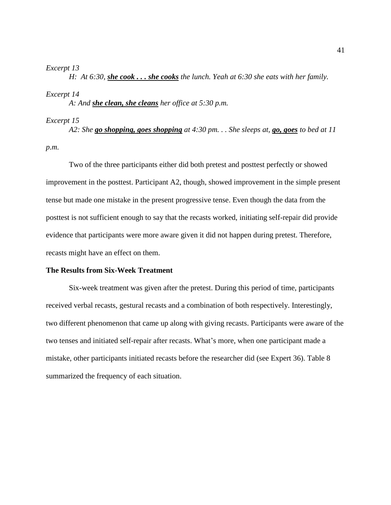#### *Excerpt 13*

*H: At 6:30, she cook . . . she cooks the lunch. Yeah at 6:30 she eats with her family.*

#### *Excerpt 14*

*A: And she clean, she cleans her office at 5:30 p.m.*

#### *Excerpt 15*

*A2: She go shopping, goes shopping at 4:30 pm. . . She sleeps at, go, goes to bed at 11 p.m.*

Two of the three participants either did both pretest and posttest perfectly or showed improvement in the posttest. Participant A2, though, showed improvement in the simple present tense but made one mistake in the present progressive tense. Even though the data from the posttest is not sufficient enough to say that the recasts worked, initiating self-repair did provide evidence that participants were more aware given it did not happen during pretest. Therefore, recasts might have an effect on them.

#### **The Results from Six-Week Treatment**

Six-week treatment was given after the pretest. During this period of time, participants received verbal recasts, gestural recasts and a combination of both respectively. Interestingly, two different phenomenon that came up along with giving recasts. Participants were aware of the two tenses and initiated self-repair after recasts. What's more, when one participant made a mistake, other participants initiated recasts before the researcher did (see Expert 36). Table 8 summarized the frequency of each situation.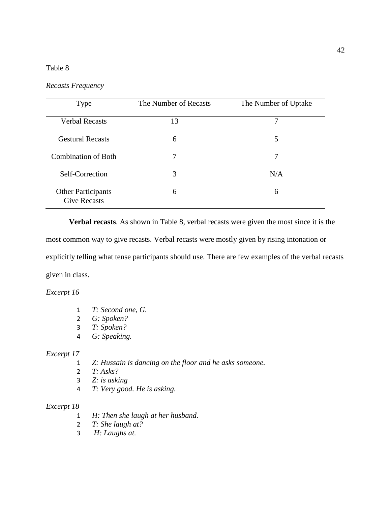# Table 8

| Type                                             | The Number of Recasts | The Number of Uptake |
|--------------------------------------------------|-----------------------|----------------------|
| <b>Verbal Recasts</b>                            | 13                    | 7                    |
| <b>Gestural Recasts</b>                          | 6                     | 5                    |
| <b>Combination of Both</b>                       | 7                     | 7                    |
| Self-Correction                                  | 3                     | N/A                  |
| <b>Other Participants</b><br><b>Give Recasts</b> | 6                     | 6                    |

**Verbal recasts**. As shown in Table 8, verbal recasts were given the most since it is the

most common way to give recasts. Verbal recasts were mostly given by rising intonation or

explicitly telling what tense participants should use. There are few examples of the verbal recasts given in class.

*Excerpt 16*

- 1 *T: Second one, G.*
- 2 *G: Spoken?*
- 3 *T: Spoken?*
- 4 *G: Speaking.*

# *Excerpt 17*

- 1 *Z: Hussain is dancing on the floor and he asks someone.*
- 2 *T: Asks?*
- 3 *Z: is asking*
- 4 *T: Very good. He is asking.*

- 1 *H: Then she laugh at her husband.*
- 2 *T: She laugh at?*
- 3 *H: Laughs at.*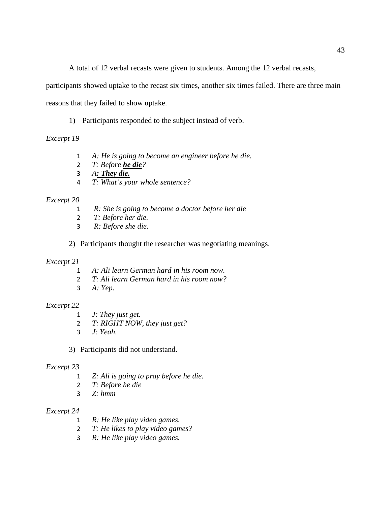A total of 12 verbal recasts were given to students. Among the 12 verbal recasts,

participants showed uptake to the recast six times, another six times failed. There are three main

reasons that they failed to show uptake.

1) Participants responded to the subject instead of verb.

# *Excerpt 19*

- *A: He is going to become an engineer before he die.*
- *T: Before he die?*
- *A: They die.*
- *T: What's your whole sentence?*

# *Excerpt 20*

- *R: She is going to become a doctor before her die*
- *T: Before her die.*
- *R: Before she die.*

2) Participants thought the researcher was negotiating meanings.

# *Excerpt 21*

- *A: Ali learn German hard in his room now.*
- *T: Ali learn German hard in his room now?*
- *A: Yep.*

# *Excerpt 22*

- *J: They just get.*
- *T: RIGHT NOW, they just get?*
- *J: Yeah.*
- 3) Participants did not understand.

#### *Excerpt 23*

- *Z: Ali is going to pray before he die.*
- *T: Before he die*
- *Z: hmm*

- *R: He like play video games.*
- *T: He likes to play video games?*
- *R: He like play video games.*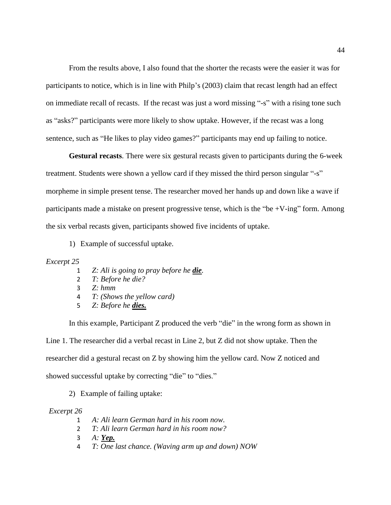From the results above, I also found that the shorter the recasts were the easier it was for participants to notice, which is in line with Philp's (2003) claim that recast length had an effect on immediate recall of recasts. If the recast was just a word missing "-s" with a rising tone such as "asks?" participants were more likely to show uptake. However, if the recast was a long sentence, such as "He likes to play video games?" participants may end up failing to notice.

**Gestural recasts**. There were six gestural recasts given to participants during the 6-week treatment. Students were shown a yellow card if they missed the third person singular "-s" morpheme in simple present tense. The researcher moved her hands up and down like a wave if participants made a mistake on present progressive tense, which is the "be +V-ing" form. Among the six verbal recasts given, participants showed five incidents of uptake.

1) Example of successful uptake.

#### *Excerpt 25*

- 1 *Z: Ali is going to pray before he die.*
- 2 *T: Before he die?*
- 3 *Z: hmm*
- 4 *T: (Shows the yellow card)*
- 5 *Z: Before he dies.*

In this example, Participant Z produced the verb "die" in the wrong form as shown in Line 1. The researcher did a verbal recast in Line 2, but Z did not show uptake. Then the researcher did a gestural recast on Z by showing him the yellow card. Now Z noticed and showed successful uptake by correcting "die" to "dies."

2) Example of failing uptake:

- 1 *A: Ali learn German hard in his room now.*
- 2 *T: Ali learn German hard in his room now?*
- 3 *A: Yep.*
- 4 *T: One last chance. (Waving arm up and down) NOW*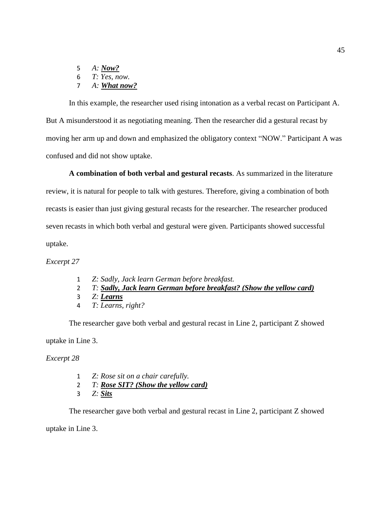5 *A: Now?* 6 *T: Yes, now.* 7 *A: What now?*

In this example, the researcher used rising intonation as a verbal recast on Participant A. But A misunderstood it as negotiating meaning. Then the researcher did a gestural recast by moving her arm up and down and emphasized the obligatory context "NOW." Participant A was confused and did not show uptake.

**A combination of both verbal and gestural recasts**. As summarized in the literature review, it is natural for people to talk with gestures. Therefore, giving a combination of both recasts is easier than just giving gestural recasts for the researcher. The researcher produced seven recasts in which both verbal and gestural were given. Participants showed successful uptake.

*Excerpt 27*

- 1 *Z: Sadly, Jack learn German before breakfast.*
- 2 *T: Sadly, Jack learn German before breakfast? (Show the yellow card)*
- 3 *Z: Learns*
- 4 *T: Learns, right?*

The researcher gave both verbal and gestural recast in Line 2, participant Z showed uptake in Line 3.

*Excerpt 28*

- 1 *Z: Rose sit on a chair carefully.*
- 2 *T: Rose SIT? (Show the yellow card)*
- 3 *Z: Sits*

The researcher gave both verbal and gestural recast in Line 2, participant Z showed

uptake in Line 3.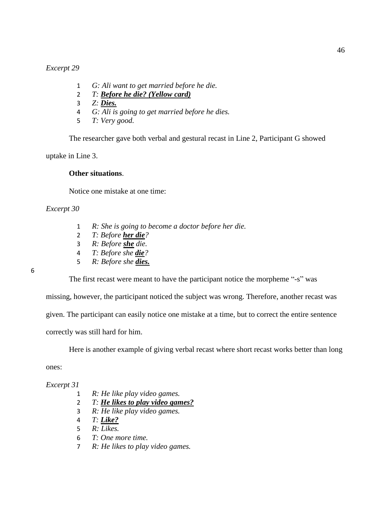*Excerpt 29*

- 1 *G: Ali want to get married before he die.*
- 2 *T: Before he die? (Yellow card)*
- 3 *Z: Dies.*
- 4 *G: Ali is going to get married before he dies.*
- 5 *T: Very good.*

The researcher gave both verbal and gestural recast in Line 2, Participant G showed

uptake in Line 3.

#### **Other situations**.

Notice one mistake at one time:

#### *Excerpt 30*

- 1 *R: She is going to become a doctor before her die.*
- 2 *T: Before her die?*
- 3 *R: Before she die.*
- 4 *T: Before she die?*
- 5 *R: Before she dies.*

#### 6

The first recast were meant to have the participant notice the morpheme "-s" was

missing, however, the participant noticed the subject was wrong. Therefore, another recast was given. The participant can easily notice one mistake at a time, but to correct the entire sentence

correctly was still hard for him.

Here is another example of giving verbal recast where short recast works better than long

ones:

- 1 *R: He like play video games.*
- 2 *T: He likes to play video games?*
- 3 *R: He like play video games.*
- 4 *T: Like?*
- 5 *R: Likes.*
- 6 *T: One more time.*
- 7 *R: He likes to play video games.*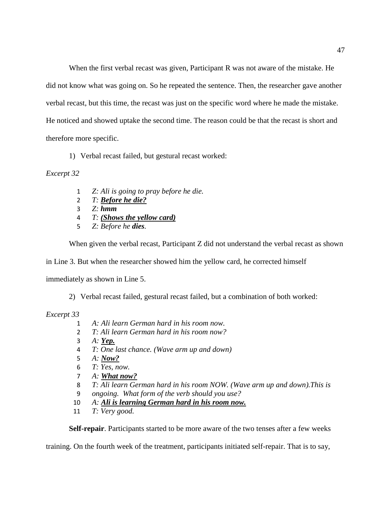When the first verbal recast was given, Participant R was not aware of the mistake. He did not know what was going on. So he repeated the sentence. Then, the researcher gave another verbal recast, but this time, the recast was just on the specific word where he made the mistake. He noticed and showed uptake the second time. The reason could be that the recast is short and therefore more specific.

1) Verbal recast failed, but gestural recast worked:

### *Excerpt 32*

- 1 *Z: Ali is going to pray before he die.*
- 2 *T: Before he die?*
- 3 *Z: hmm*
- 4 *T: (Shows the yellow card)*
- 5 *Z: Before he dies.*

When given the verbal recast, Participant Z did not understand the verbal recast as shown

in Line 3. But when the researcher showed him the yellow card, he corrected himself

immediately as shown in Line 5.

2) Verbal recast failed, gestural recast failed, but a combination of both worked:

#### *Excerpt 33*

- 1 *A: Ali learn German hard in his room now.*
- 2 *T: Ali learn German hard in his room now?*
- 3 *A: Yep.*
- 4 *T: One last chance. (Wave arm up and down)*
- 5 *A: Now?*
- 6 *T: Yes, now.*
- 7 *A: What now?*
- 8 *T: Ali learn German hard in his room NOW. (Wave arm up and down).This is*
- 9 *ongoing. What form of the verb should you use?*
- 10 *A: Ali is learning German hard in his room now.*
- 11 *T: Very good.*

**Self-repair**. Participants started to be more aware of the two tenses after a few weeks

training. On the fourth week of the treatment, participants initiated self-repair. That is to say,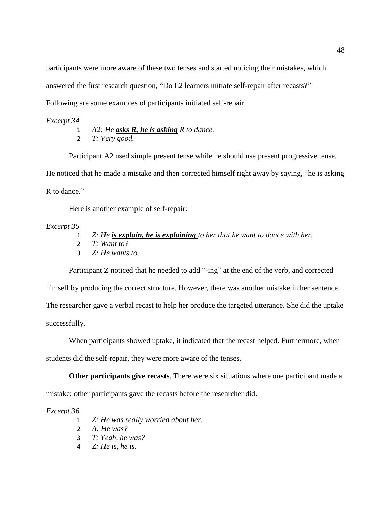participants were more aware of these two tenses and started noticing their mistakes, which answered the first research question, "Do L2 learners initiate self-repair after recasts?" Following are some examples of participants initiated self-repair.

#### *Excerpt 34*

- 1 *A2: He asks R, he is asking R to dance.*
- 2 *T: Very good.*

Participant A2 used simple present tense while he should use present progressive tense.

He noticed that he made a mistake and then corrected himself right away by saying, "he is asking

R to dance."

Here is another example of self-repair:

#### *Excerpt 35*

- 1 *Z: He is explain, he is explaining to her that he want to dance with her.*
- 2 *T: Want to?*
- 3 *Z: He wants to.*

Participant Z noticed that he needed to add "-ing" at the end of the verb, and corrected

himself by producing the correct structure. However, there was another mistake in her sentence.

The researcher gave a verbal recast to help her produce the targeted utterance. She did the uptake

successfully.

When participants showed uptake, it indicated that the recast helped. Furthermore, when

students did the self-repair, they were more aware of the tenses.

**Other participants give recasts**. There were six situations where one participant made a mistake; other participants gave the recasts before the researcher did.

- 1 *Z: He was really worried about her.*
- 2 *A: He was?*
- 3 *T: Yeah, he was?*
- 4 *Z: He is, he is.*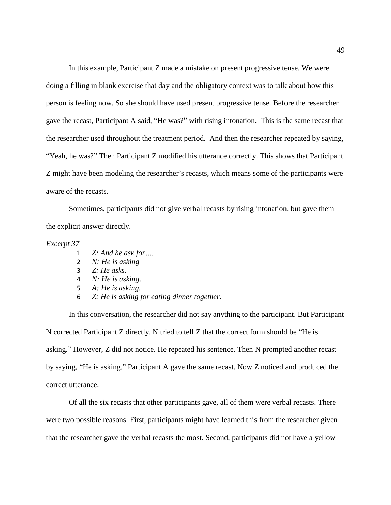In this example, Participant Z made a mistake on present progressive tense. We were doing a filling in blank exercise that day and the obligatory context was to talk about how this person is feeling now. So she should have used present progressive tense. Before the researcher gave the recast, Participant A said, "He was?" with rising intonation. This is the same recast that the researcher used throughout the treatment period. And then the researcher repeated by saying, "Yeah, he was?" Then Participant Z modified his utterance correctly. This shows that Participant Z might have been modeling the researcher's recasts, which means some of the participants were aware of the recasts.

Sometimes, participants did not give verbal recasts by rising intonation, but gave them the explicit answer directly.

#### *Excerpt 37*

- 1 *Z: And he ask for….*
- 2 *N: He is asking*
- 3 *Z: He asks.*
- 4 *N: He is asking.*
- 5 *A: He is asking.*
- 6 *Z: He is asking for eating dinner together.*

In this conversation, the researcher did not say anything to the participant. But Participant N corrected Participant Z directly. N tried to tell Z that the correct form should be "He is asking." However, Z did not notice. He repeated his sentence. Then N prompted another recast by saying, "He is asking." Participant A gave the same recast. Now Z noticed and produced the correct utterance.

Of all the six recasts that other participants gave, all of them were verbal recasts. There were two possible reasons. First, participants might have learned this from the researcher given that the researcher gave the verbal recasts the most. Second, participants did not have a yellow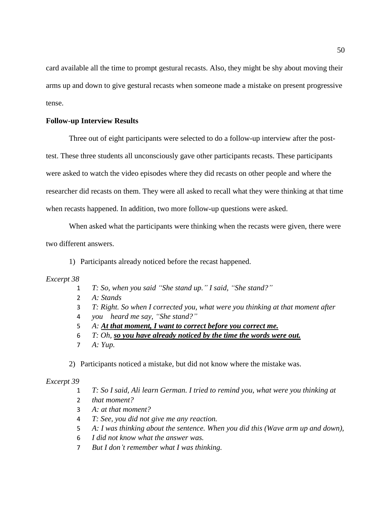card available all the time to prompt gestural recasts. Also, they might be shy about moving their arms up and down to give gestural recasts when someone made a mistake on present progressive tense.

#### **Follow-up Interview Results**

Three out of eight participants were selected to do a follow-up interview after the posttest. These three students all unconsciously gave other participants recasts. These participants were asked to watch the video episodes where they did recasts on other people and where the researcher did recasts on them. They were all asked to recall what they were thinking at that time when recasts happened. In addition, two more follow-up questions were asked.

When asked what the participants were thinking when the recasts were given, there were two different answers.

1) Participants already noticed before the recast happened.

#### *Excerpt 38*

- 1 *T: So, when you said "She stand up." I said, "She stand?"*
- 2 *A: Stands*
- 3 *T: Right. So when I corrected you, what were you thinking at that moment after*
- 4 *you heard me say, "She stand?"*
- 5 *A: At that moment, I want to correct before you correct me.*
- 6 *T: Oh, so you have already noticed by the time the words were out.*
- 7 *A: Yup.*

2) Participants noticed a mistake, but did not know where the mistake was.

#### *Excerpt 39*

1 *T: So I said, Ali learn German. I tried to remind you, what were you thinking at* 

- 2 *that moment?*
- 3 *A: at that moment?*
- 4 *T: See, you did not give me any reaction.*
- 5 *A: I was thinking about the sentence. When you did this (Wave arm up and down),*
- 6 *I did not know what the answer was.*
- 7 *But I don't remember what I was thinking.*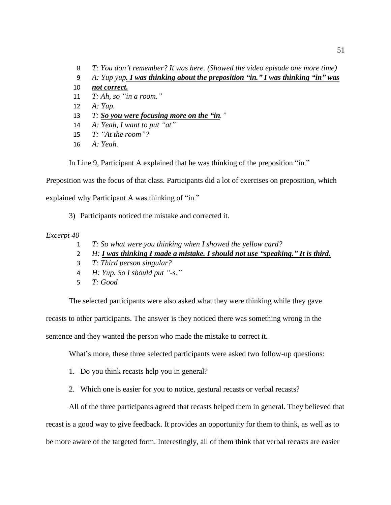*T: You don't remember? It was here. (Showed the video episode one more time) A: Yup yup. I was thinking about the preposition "in." I was thinking "in" was not correct. T: Ah, so "in a room."* 12 *A: Yup. T: So you were focusing more on the "in." A: Yeah, I want to put "at" T: "At the room"? A: Yeah.* 

In Line 9, Participant A explained that he was thinking of the preposition "in."

Preposition was the focus of that class. Participants did a lot of exercises on preposition, which

explained why Participant A was thinking of "in."

3) Participants noticed the mistake and corrected it.

#### *Excerpt 40*

- 1 *T: So what were you thinking when I showed the yellow card?*
- 2 *H: I was thinking I made a mistake. I should not use "speaking." It is third.*
- 3 *T: Third person singular?*
- 4 *H: Yup. So I should put "-s."*
- 5 *T: Good*

The selected participants were also asked what they were thinking while they gave

recasts to other participants. The answer is they noticed there was something wrong in the

sentence and they wanted the person who made the mistake to correct it.

What's more, these three selected participants were asked two follow-up questions:

- 1. Do you think recasts help you in general?
- 2. Which one is easier for you to notice, gestural recasts or verbal recasts?

All of the three participants agreed that recasts helped them in general. They believed that recast is a good way to give feedback. It provides an opportunity for them to think, as well as to be more aware of the targeted form. Interestingly, all of them think that verbal recasts are easier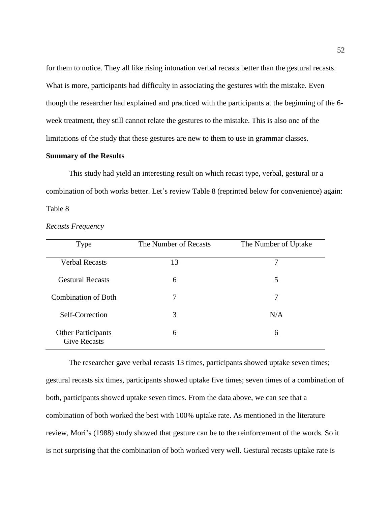for them to notice. They all like rising intonation verbal recasts better than the gestural recasts. What is more, participants had difficulty in associating the gestures with the mistake. Even though the researcher had explained and practiced with the participants at the beginning of the 6 week treatment, they still cannot relate the gestures to the mistake. This is also one of the limitations of the study that these gestures are new to them to use in grammar classes.

#### **Summary of the Results**

This study had yield an interesting result on which recast type, verbal, gestural or a combination of both works better. Let's review Table 8 (reprinted below for convenience) again: Table 8

| Type                                             | The Number of Recasts | The Number of Uptake |
|--------------------------------------------------|-----------------------|----------------------|
| <b>Verbal Recasts</b>                            | 13                    | 7                    |
| <b>Gestural Recasts</b>                          | 6                     | 5                    |
| <b>Combination of Both</b>                       | 7                     | 7                    |
| Self-Correction                                  | 3                     | N/A                  |
| <b>Other Participants</b><br><b>Give Recasts</b> | 6                     | 6                    |

*Recasts Frequency* 

The researcher gave verbal recasts 13 times, participants showed uptake seven times; gestural recasts six times, participants showed uptake five times; seven times of a combination of both, participants showed uptake seven times. From the data above, we can see that a combination of both worked the best with 100% uptake rate. As mentioned in the literature review, Mori's (1988) study showed that gesture can be to the reinforcement of the words. So it is not surprising that the combination of both worked very well. Gestural recasts uptake rate is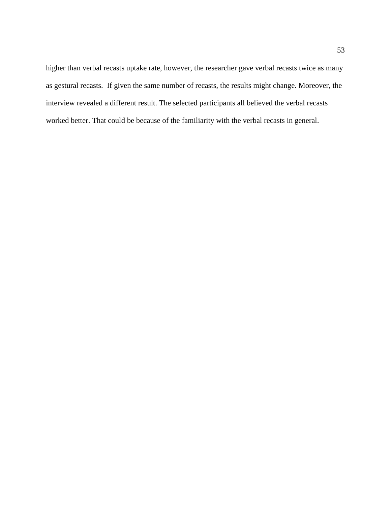higher than verbal recasts uptake rate, however, the researcher gave verbal recasts twice as many as gestural recasts. If given the same number of recasts, the results might change. Moreover, the interview revealed a different result. The selected participants all believed the verbal recasts worked better. That could be because of the familiarity with the verbal recasts in general.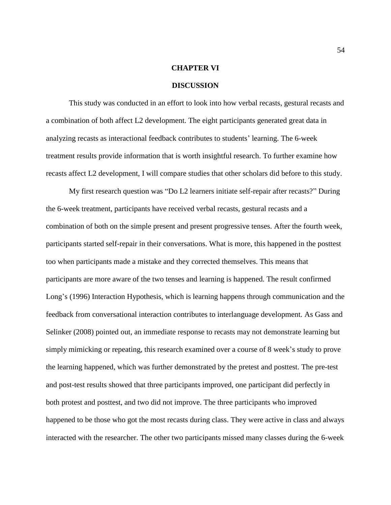#### **CHAPTER VI**

#### **DISCUSSION**

This study was conducted in an effort to look into how verbal recasts, gestural recasts and a combination of both affect L2 development. The eight participants generated great data in analyzing recasts as interactional feedback contributes to students' learning. The 6-week treatment results provide information that is worth insightful research. To further examine how recasts affect L2 development, I will compare studies that other scholars did before to this study.

My first research question was "Do L2 learners initiate self-repair after recasts?" During the 6-week treatment, participants have received verbal recasts, gestural recasts and a combination of both on the simple present and present progressive tenses. After the fourth week, participants started self-repair in their conversations. What is more, this happened in the posttest too when participants made a mistake and they corrected themselves. This means that participants are more aware of the two tenses and learning is happened. The result confirmed Long's (1996) Interaction Hypothesis, which is learning happens through communication and the feedback from conversational interaction contributes to interlanguage development. As Gass and Selinker (2008) pointed out, an immediate response to recasts may not demonstrate learning but simply mimicking or repeating, this research examined over a course of 8 week's study to prove the learning happened, which was further demonstrated by the pretest and posttest. The pre-test and post-test results showed that three participants improved, one participant did perfectly in both protest and posttest, and two did not improve. The three participants who improved happened to be those who got the most recasts during class. They were active in class and always interacted with the researcher. The other two participants missed many classes during the 6-week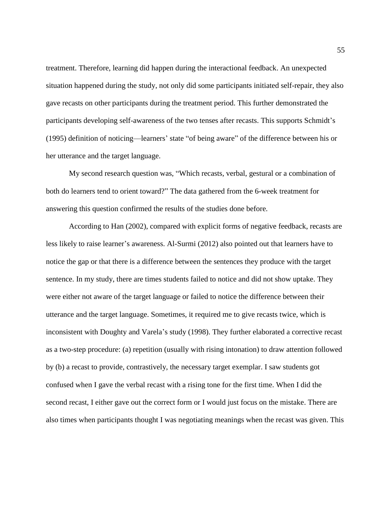treatment. Therefore, learning did happen during the interactional feedback. An unexpected situation happened during the study, not only did some participants initiated self-repair, they also gave recasts on other participants during the treatment period. This further demonstrated the participants developing self-awareness of the two tenses after recasts. This supports Schmidt's (1995) definition of noticing—learners' state "of being aware" of the difference between his or her utterance and the target language.

My second research question was, "Which recasts, verbal, gestural or a combination of both do learners tend to orient toward?" The data gathered from the 6-week treatment for answering this question confirmed the results of the studies done before.

According to Han (2002), compared with explicit forms of negative feedback, recasts are less likely to raise learner's awareness. Al-Surmi (2012) also pointed out that learners have to notice the gap or that there is a difference between the sentences they produce with the target sentence. In my study, there are times students failed to notice and did not show uptake. They were either not aware of the target language or failed to notice the difference between their utterance and the target language. Sometimes, it required me to give recasts twice, which is inconsistent with Doughty and Varela's study (1998). They further elaborated a corrective recast as a two-step procedure: (a) repetition (usually with rising intonation) to draw attention followed by (b) a recast to provide, contrastively, the necessary target exemplar. I saw students got confused when I gave the verbal recast with a rising tone for the first time. When I did the second recast, I either gave out the correct form or I would just focus on the mistake. There are also times when participants thought I was negotiating meanings when the recast was given. This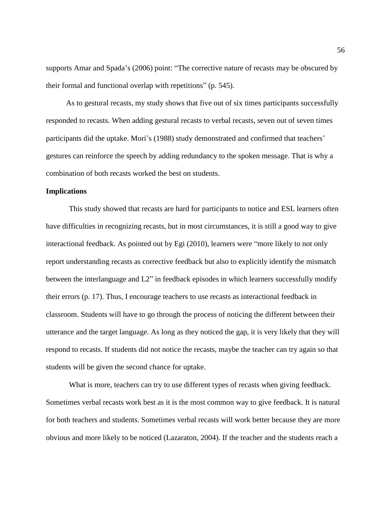supports Amar and Spada's (2006) point: "The corrective nature of recasts may be obscured by their formal and functional overlap with repetitions" (p. 545).

As to gestural recasts, my study shows that five out of six times participants successfully responded to recasts. When adding gestural recasts to verbal recasts, seven out of seven times participants did the uptake. Mori's (1988) study demonstrated and confirmed that teachers' gestures can reinforce the speech by adding redundancy to the spoken message. That is why a combination of both recasts worked the best on students.

#### **Implications**

This study showed that recasts are hard for participants to notice and ESL learners often have difficulties in recognizing recasts, but in most circumstances, it is still a good way to give interactional feedback. As pointed out by Egi (2010), learners were "more likely to not only report understanding recasts as corrective feedback but also to explicitly identify the mismatch between the interlanguage and L2" in feedback episodes in which learners successfully modify their errors (p. 17). Thus, I encourage teachers to use recasts as interactional feedback in classroom. Students will have to go through the process of noticing the different between their utterance and the target language. As long as they noticed the gap, it is very likely that they will respond to recasts. If students did not notice the recasts, maybe the teacher can try again so that students will be given the second chance for uptake.

What is more, teachers can try to use different types of recasts when giving feedback. Sometimes verbal recasts work best as it is the most common way to give feedback. It is natural for both teachers and students. Sometimes verbal recasts will work better because they are more obvious and more likely to be noticed (Lazaraton, 2004). If the teacher and the students reach a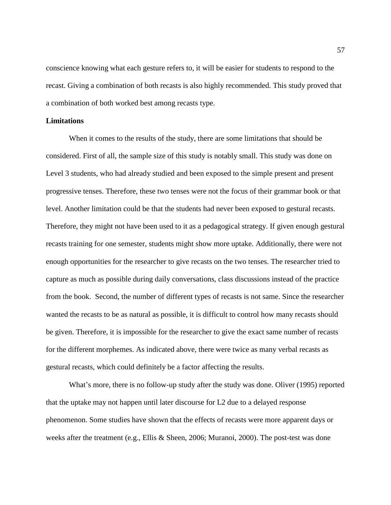conscience knowing what each gesture refers to, it will be easier for students to respond to the recast. Giving a combination of both recasts is also highly recommended. This study proved that a combination of both worked best among recasts type.

#### **Limitations**

When it comes to the results of the study, there are some limitations that should be considered. First of all, the sample size of this study is notably small. This study was done on Level 3 students, who had already studied and been exposed to the simple present and present progressive tenses. Therefore, these two tenses were not the focus of their grammar book or that level. Another limitation could be that the students had never been exposed to gestural recasts. Therefore, they might not have been used to it as a pedagogical strategy. If given enough gestural recasts training for one semester, students might show more uptake. Additionally, there were not enough opportunities for the researcher to give recasts on the two tenses. The researcher tried to capture as much as possible during daily conversations, class discussions instead of the practice from the book. Second, the number of different types of recasts is not same. Since the researcher wanted the recasts to be as natural as possible, it is difficult to control how many recasts should be given. Therefore, it is impossible for the researcher to give the exact same number of recasts for the different morphemes. As indicated above, there were twice as many verbal recasts as gestural recasts, which could definitely be a factor affecting the results.

What's more, there is no follow-up study after the study was done. Oliver (1995) reported that the uptake may not happen until later discourse for L2 due to a delayed response phenomenon. Some studies have shown that the effects of recasts were more apparent days or weeks after the treatment (e.g., Ellis & Sheen, 2006; Muranoi, 2000). The post-test was done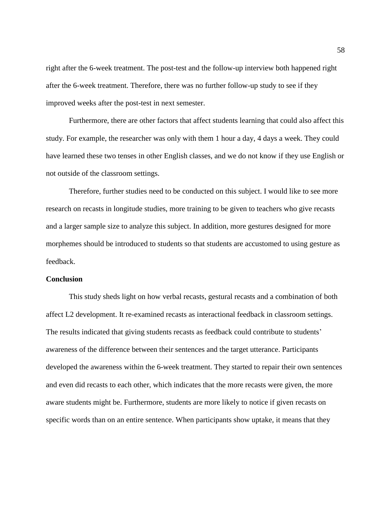right after the 6-week treatment. The post-test and the follow-up interview both happened right after the 6-week treatment. Therefore, there was no further follow-up study to see if they improved weeks after the post-test in next semester.

Furthermore, there are other factors that affect students learning that could also affect this study. For example, the researcher was only with them 1 hour a day, 4 days a week. They could have learned these two tenses in other English classes, and we do not know if they use English or not outside of the classroom settings.

Therefore, further studies need to be conducted on this subject. I would like to see more research on recasts in longitude studies, more training to be given to teachers who give recasts and a larger sample size to analyze this subject. In addition, more gestures designed for more morphemes should be introduced to students so that students are accustomed to using gesture as feedback.

#### **Conclusion**

This study sheds light on how verbal recasts, gestural recasts and a combination of both affect L2 development. It re-examined recasts as interactional feedback in classroom settings. The results indicated that giving students recasts as feedback could contribute to students' awareness of the difference between their sentences and the target utterance. Participants developed the awareness within the 6-week treatment. They started to repair their own sentences and even did recasts to each other, which indicates that the more recasts were given, the more aware students might be. Furthermore, students are more likely to notice if given recasts on specific words than on an entire sentence. When participants show uptake, it means that they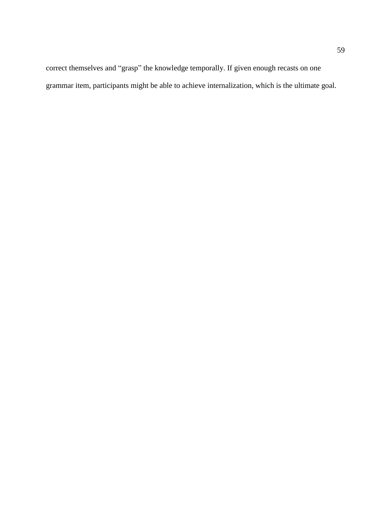correct themselves and "grasp" the knowledge temporally. If given enough recasts on one grammar item, participants might be able to achieve internalization, which is the ultimate goal.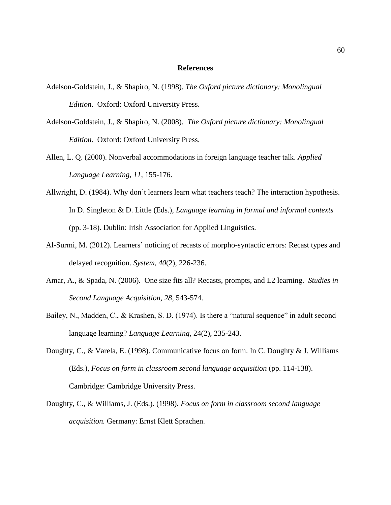#### **References**

- Adelson-Goldstein, J., & Shapiro, N. (1998). *The Oxford picture dictionary: Monolingual Edition*. Oxford: Oxford University Press.
- Adelson-Goldstein, J., & Shapiro, N. (2008). *The Oxford picture dictionary: Monolingual Edition*. Oxford: Oxford University Press.
- Allen, L. Q. (2000). Nonverbal accommodations in foreign language teacher talk. *Applied Language Learning, 11*, 155-176.
- Allwright, D. (1984). Why don't learners learn what teachers teach? The interaction hypothesis. In D. Singleton & D. Little (Eds.), *Language learning in formal and informal contexts* (pp. 3-18). Dublin: Irish Association for Applied Linguistics.
- Al-Surmi, M. (2012). Learners' noticing of recasts of morpho-syntactic errors: Recast types and delayed recognition. *System*, *40*(2), 226-236.
- Amar, A., & Spada, N. (2006). One size fits all? Recasts, prompts, and L2 learning. *Studies in Second Language Acquisition, 28*, 543-574.
- Bailey, N., Madden, C., & Krashen, S. D. (1974). Is there a "natural sequence" in adult second language learning? *Language Learning,* 24(2), 235-243.
- Doughty, C., & Varela, E. (1998). Communicative focus on form. In C. Doughty & J. Williams (Eds.), *Focus on form in classroom second language acquisition* (pp. 114-138). Cambridge: Cambridge University Press.
- Doughty, C., & Williams, J. (Eds.). (1998). *Focus on form in classroom second language acquisition.* Germany: Ernst Klett Sprachen.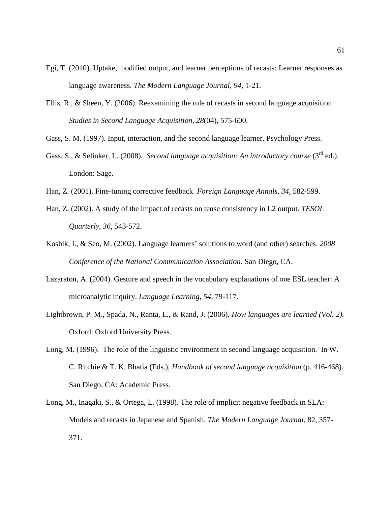- Egi, T. (2010). Uptake, modified output, and learner perceptions of recasts: Learner responses as language awareness. *The Modern Language Journal*, *94*, 1-21.
- Ellis, R., & Sheen, Y. (2006). Reexamining the role of recasts in second language acquisition. *Studies in Second Language Acquisition*, *28*(04), 575-600.
- Gass, S. M. (1997). Input, interaction, and the second language learner. Psychology Press.
- Gass, S., & Selinker, L. (2008). *Second language acquisition: An introductory course* (3<sup>rd</sup> ed.). London: Sage.
- Han, Z. (2001). Fine-tuning corrective feedback. *Foreign Language Annals, 34*, 582-599.
- Han, Z. (2002). A study of the impact of recasts on tense consistency in L2 output. *TESOL Quarterly*, *36*, 543-572.
- Koshik, I., & Seo, M. (2002). Language learners' solutions to word (and other) searches. *2008 Conference of the National Communication Association.* San Diego, CA.
- Lazaraton, A. (2004). Gesture and speech in the vocabulary explanations of one ESL teacher: A microanalytic inquiry. *Language Learning, 54*, 79-117.
- Lightbrown, P. M., Spada, N., Ranta, L., & Rand, J. (2006). *How languages are learned (Vol. 2).* Oxford: Oxford University Press.
- Long, M. (1996). The role of the linguistic environment in second language acquisition. In W. C. Ritchie & T. K. Bhatia (Eds.), *Handbook of second language acquisition* (p. 416-468). San Diego, CA: Academic Press.
- Long, M., Inagaki, S., & Ortega, L. (1998). The role of implicit negative feedback in SLA: Models and recasts in Japanese and Spanish. *The Modern Language Journal*, 82, 357- 371.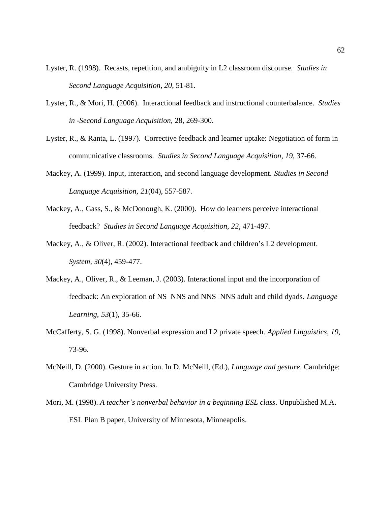- Lyster, R. (1998). Recasts, repetition, and ambiguity in L2 classroom discourse. *Studies in Second Language Acquisition, 20*, 51-81.
- Lyster, R., & Mori, H. (2006). Interactional feedback and instructional counterbalance. *Studies in -Second Language Acquisition,* 28, 269-300.
- Lyster, R., & Ranta, L. (1997). Corrective feedback and learner uptake: Negotiation of form in communicative classrooms. *Studies in Second Language Acquisition, 19,* 37-66.
- Mackey, A. (1999). Input, interaction, and second language development. *Studies in Second Language Acquisition, 21*(04), 557-587.
- Mackey, A., Gass, S., & McDonough, K. (2000). How do learners perceive interactional feedback? *Studies in Second Language Acquisition, 22*, 471-497.
- Mackey, A., & Oliver, R. (2002). Interactional feedback and children's L2 development. *System, 30*(4), 459-477.
- Mackey, A., Oliver, R., & Leeman, J. (2003). Interactional input and the incorporation of feedback: An exploration of NS–NNS and NNS–NNS adult and child dyads. *Language Learning, 53*(1), 35-66.
- McCafferty, S. G. (1998). Nonverbal expression and L2 private speech*. Applied Linguistics*, *19*, 73-96.
- McNeill, D. (2000). Gesture in action. In D. McNeill, (Ed.), *Language and gesture*. Cambridge: Cambridge University Press.
- Mori, M. (1998). *A teacher's nonverbal behavior in a beginning ESL class*. Unpublished M.A. ESL Plan B paper, University of Minnesota, Minneapolis.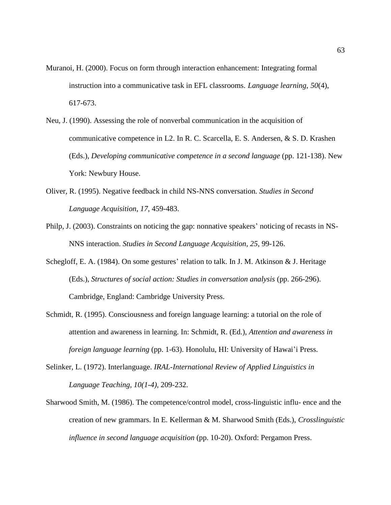- Muranoi, H. (2000). Focus on form through interaction enhancement: Integrating formal instruction into a communicative task in EFL classrooms. *Language learning, 50*(4), 617-673.
- Neu, J. (1990). Assessing the role of nonverbal communication in the acquisition of communicative competence in L2. In R. C. Scarcella, E. S. Andersen, & S. D. Krashen (Eds.), *Developing communicative competence in a second language* (pp. 121-138). New York: Newbury House.
- Oliver, R. (1995). Negative feedback in child NS-NNS conversation*. Studies in Second Language Acquisition*, *17*, 459-483.
- Philp, J. (2003). Constraints on noticing the gap: nonnative speakers' noticing of recasts in NS-NNS interaction. *Studies in Second Language Acquisition, 25*, 99-126.
- Schegloff, E. A. (1984). On some gestures' relation to talk. In J. M. Atkinson & J. Heritage (Eds.), *Structures of social action: Studies in conversation analysis* (pp. 266-296). Cambridge, England: Cambridge University Press.
- Schmidt, R. (1995). Consciousness and foreign language learning: a tutorial on the role of attention and awareness in learning. In: Schmidt, R. (Ed.), *Attention and awareness in foreign language learning* (pp. 1-63). Honolulu, HI: University of Hawai'i Press.
- Selinker, L. (1972). Interlanguage. *IRAL-International Review of Applied Linguistics in Language Teaching, 10(1-4),* 209-232.
- Sharwood Smith, M. (1986). The competence/control model, cross-linguistic influ- ence and the creation of new grammars. In E. Kellerman & M. Sharwood Smith (Eds.), *Crosslinguistic influence in second language acquisition* (pp. 10-20). Oxford: Pergamon Press.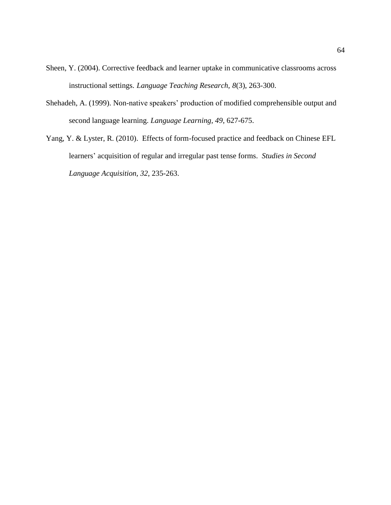- Sheen, Y. (2004). Corrective feedback and learner uptake in communicative classrooms across instructional settings. *Language Teaching Research, 8*(3), 263-300.
- Shehadeh, A. (1999). Non-native speakers' production of modified comprehensible output and second language learning. *Language Learning, 49*, 627-675.
- Yang, Y. & Lyster, R. (2010). Effects of form-focused practice and feedback on Chinese EFL learners' acquisition of regular and irregular past tense forms. *Studies in Second Language Acquisition, 32*, 235-263.